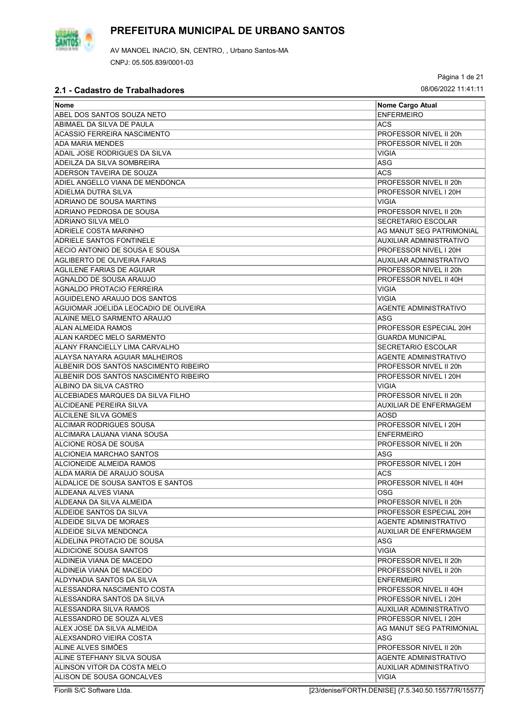

Página 1 de 21

| <b>Nome</b>                           | Nome Cargo Atual               |
|---------------------------------------|--------------------------------|
| ABEL DOS SANTOS SOUZA NETO            | <b>ENFERMEIRO</b>              |
| ABIMAEL DA SILVA DE PAULA             | <b>ACS</b>                     |
| ACASSIO FERREIRA NASCIMENTO           | PROFESSOR NIVEL II 20h         |
| <b>ADA MARIA MENDES</b>               | PROFESSOR NIVEL II 20h         |
| ADAIL JOSE RODRIGUES DA SILVA         | <b>VIGIA</b>                   |
| ADEILZA DA SILVA SOMBREIRA            | ASG                            |
| ADERSON TAVEIRA DE SOUZA              | ACS                            |
| ADIEL ANGELLO VIANA DE MENDONCA       | PROFESSOR NIVEL II 20h         |
| ADIELMA DUTRA SILVA                   | PROFESSOR NIVEL I 20H          |
| ADRIANO DE SOUSA MARTINS              | <b>VIGIA</b>                   |
| ADRIANO PEDROSA DE SOUSA              | PROFESSOR NIVEL II 20h         |
| <b>ADRIANO SILVA MELO</b>             | SECRETARIO ESCOLAR             |
|                                       |                                |
| <b>ADRIELE COSTA MARINHO</b>          | AG MANUT SEG PATRIMONIAL       |
| ADRIELE SANTOS FONTINELE              | AUXILIAR ADMINISTRATIVO        |
| AECIO ANTONIO DE SOUSA E SOUSA        | PROFESSOR NIVEL I 20H          |
| <b>AGLIBERTO DE OLIVEIRA FARIAS</b>   | <b>AUXILIAR ADMINISTRATIVO</b> |
| AGLILENE FARIAS DE AGUIAR             | PROFESSOR NIVEL II 20h         |
| AGNALDO DE SOUSA ARAUJO               | PROFESSOR NIVEL II 40H         |
| AGNALDO PROTACIO FERREIRA             | <b>VIGIA</b>                   |
| AGUIDELENO ARAUJO DOS SANTOS          | <b>VIGIA</b>                   |
| AGUIOMAR JOELIDA LEOCADIO DE OLIVEIRA | <b>AGENTE ADMINISTRATIVO</b>   |
| ALAINE MELO SARMENTO ARAUJO           | ASG                            |
| <b>ALAN ALMEIDA RAMOS</b>             | PROFESSOR ESPECIAL 20H         |
| ALAN KARDEC MELO SARMENTO             | <b>GUARDA MUNICIPAL</b>        |
| ALANY FRANCIELLY LIMA CARVALHO        | <b>SECRETARIO ESCOLAR</b>      |
| ALAYSA NAYARA AGUIAR MALHEIROS        | <b>AGENTE ADMINISTRATIVO</b>   |
| ALBENIR DOS SANTOS NASCIMENTO RIBEIRO | PROFESSOR NIVEL II 20h         |
| ALBENIR DOS SANTOS NASCIMENTO RIBEIRO | PROFESSOR NIVEL I 20H          |
| ALBINO DA SILVA CASTRO                | VIGIA                          |
| ALCEBIADES MARQUES DA SILVA FILHO     | PROFESSOR NIVEL II 20h         |
| ALCIDEANE PEREIRA SILVA               | <b>AUXILIAR DE ENFERMAGEM</b>  |
| <b>ALCILENE SILVA GOMES</b>           | AOSD                           |
| ALCIMAR RODRIGUES SOUSA               | PROFESSOR NIVEL I 20H          |
| ALCIMARA LAUANA VIANA SOUSA           | <b>ENFERMEIRO</b>              |
| ALCIONE ROSA DE SOUSA                 | PROFESSOR NIVEL II 20h         |
| ALCIONEIA MARCHAO SANTOS              | ASG                            |
| ALCIONEIDE ALMEIDA RAMOS              | PROFESSOR NIVEL I 20H          |
| ALDA MARIA DE ARAUJO SOUSA            | <b>ACS</b>                     |
| ALDALICE DE SOUSA SANTOS E SANTOS     | PROFESSOR NIVEL II 40H         |
| ALDEANA ALVES VIANA                   | OSG                            |
| ALDEANA DA SILVA ALMEIDA              | PROFESSOR NIVEL II 20h         |
| ALDEIDE SANTOS DA SILVA               | PROFESSOR ESPECIAL 20H         |
| ALDEIDE SILVA DE MORAES               | AGENTE ADMINISTRATIVO          |
| ALDEIDE SILVA MENDONCA                | <b>AUXILIAR DE ENFERMAGEM</b>  |
| ALDELINA PROTACIO DE SOUSA            | ASG                            |
| ALDICIONE SOUSA SANTOS                | VIGIA                          |
| ALDINEIA VIANA DE MACEDO              | PROFESSOR NIVEL II 20h         |
| ALDINEIA VIANA DE MACEDO              | PROFESSOR NIVEL II 20h         |
| ALDYNADIA SANTOS DA SILVA             | <b>ENFERMEIRO</b>              |
| ALESSANDRA NASCIMENTO COSTA           | PROFESSOR NIVEL II 40H         |
| ALESSANDRA SANTOS DA SILVA            | PROFESSOR NIVEL I 20H          |
| ALESSANDRA SILVA RAMOS                | AUXILIAR ADMINISTRATIVO        |
| ALESSANDRO DE SOUZA ALVES             | PROFESSOR NIVEL I 20H          |
| ALEX JOSE DA SILVA ALMEIDA            | AG MANUT SEG PATRIMONIAL       |
| ALEXSANDRO VIEIRA COSTA               | ASG                            |
| ALINE ALVES SIMÕES                    | PROFESSOR NIVEL II 20h         |
| ALINE STEFHANY SILVA SOUSA            | AGENTE ADMINISTRATIVO          |
| ALINSON VITOR DA COSTA MELO           | AUXILIAR ADMINISTRATIVO        |
| ALISON DE SOUSA GONCALVES             | VIGIA                          |
|                                       |                                |

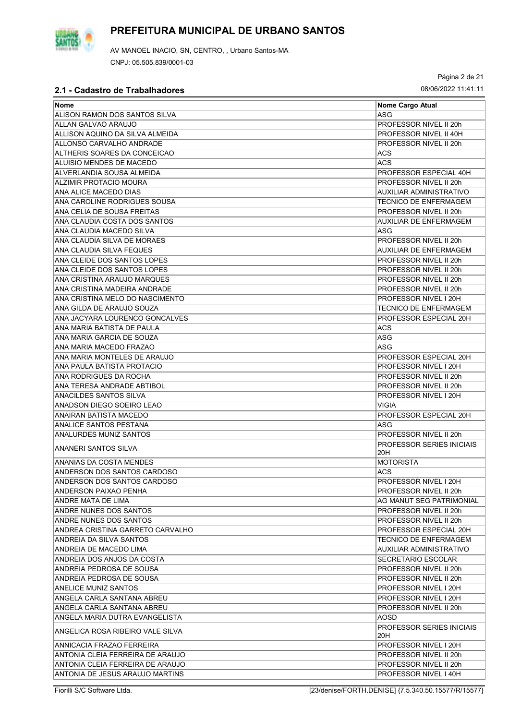

Página 2 de 21

| <b>Nome</b>                      | Nome Cargo Atual                 |
|----------------------------------|----------------------------------|
| ALISON RAMON DOS SANTOS SILVA    | ASG                              |
| ALLAN GALVAO ARAUJO              | PROFESSOR NIVEL II 20h           |
| ALLISON AQUINO DA SILVA ALMEIDA  | PROFESSOR NIVEL II 40H           |
| ALLONSO CARVALHO ANDRADE         | PROFESSOR NIVEL II 20h           |
| ALTHERIS SOARES DA CONCEICAO     | <b>ACS</b>                       |
| ALUISIO MENDES DE MACEDO         | <b>ACS</b>                       |
| ALVERLANDIA SOUSA ALMEIDA        | PROFESSOR ESPECIAL 40H           |
| ALZIMIR PROTACIO MOURA           | PROFESSOR NIVEL II 20h           |
| ANA ALICE MACEDO DIAS            | <b>AUXILIAR ADMINISTRATIVO</b>   |
| ANA CAROLINE RODRIGUES SOUSA     | <b>TECNICO DE ENFERMAGEM</b>     |
| ANA CELIA DE SOUSA FREITAS       | PROFESSOR NIVEL II 20h           |
| ANA CLAUDIA COSTA DOS SANTOS     | AUXILIAR DE ENFERMAGEM           |
| ANA CLAUDIA MACEDO SILVA         | ASG                              |
| ANA CLAUDIA SILVA DE MORAES      | PROFESSOR NIVEL II 20h           |
| ANA CLAUDIA SILVA FEQUES         | AUXILIAR DE ENFERMAGEM           |
| ANA CLEIDE DOS SANTOS LOPES      | PROFESSOR NIVEL II 20h           |
| ANA CLEIDE DOS SANTOS LOPES      | PROFESSOR NIVEL II 20h           |
| ANA CRISTINA ARAUJO MARQUES      | PROFESSOR NIVEL II 20h           |
| ANA CRISTINA MADEIRA ANDRADE     | PROFESSOR NIVEL II 20h           |
| ANA CRISTINA MELO DO NASCIMENTO  | PROFESSOR NIVEL I 20H            |
| ANA GILDA DE ARAUJO SOUZA        | <b>TECNICO DE ENFERMAGEM</b>     |
| ANA JACYARA LOURENCO GONCALVES   | PROFESSOR ESPECIAL 20H           |
|                                  |                                  |
| ANA MARIA BATISTA DE PAULA       | ACS                              |
| ANA MARIA GARCIA DE SOUZA        | <b>ASG</b>                       |
| ANA MARIA MACEDO FRAZAO          | ASG                              |
| ANA MARIA MONTELES DE ARAUJO     | PROFESSOR ESPECIAL 20H           |
| ANA PAULA BATISTA PROTACIO       | PROFESSOR NIVEL I 20H            |
| ANA RODRIGUES DA ROCHA           | PROFESSOR NIVEL II 20h           |
| ANA TERESA ANDRADE ABTIBOL       | PROFESSOR NIVEL II 20h           |
| ANACILDES SANTOS SILVA           | PROFESSOR NIVEL I 20H            |
| ANADSON DIEGO SOEIRO LEAO        | <b>VIGIA</b>                     |
| ANAIRAN BATISTA MACEDO           | PROFESSOR ESPECIAL 20H           |
| ANALICE SANTOS PESTANA           | ASG                              |
| <b>ANALURDES MUNIZ SANTOS</b>    | PROFESSOR NIVEL II 20h           |
| ANANERI SANTOS SILVA             | <b>PROFESSOR SERIES INICIAIS</b> |
|                                  | 20H                              |
| ANANIAS DA COSTA MENDES          | <b>MOTORISTA</b>                 |
| ANDERSON DOS SANTOS CARDOSO      | ACS                              |
| ANDERSON DOS SANTOS CARDOSO      | PROFESSOR NIVEL I 20H            |
| ANDERSON PAIXAO PENHA            | PROFESSOR NIVEL II 20h           |
| ANDRE MATA DE LIMA               | AG MANUT SEG PATRIMONIAL         |
| ANDRE NUNES DOS SANTOS           | PROFESSOR NIVEL II 20h           |
| ANDRE NUNES DOS SANTOS           | PROFESSOR NIVEL II 20h           |
| ANDREA CRISTINA GARRETO CARVALHO | PROFESSOR ESPECIAL 20H           |
| ANDREIA DA SILVA SANTOS          | <b>TECNICO DE ENFERMAGEM</b>     |
| ANDREIA DE MACEDO LIMA           | AUXILIAR ADMINISTRATIVO          |
| ANDREIA DOS ANJOS DA COSTA       | <b>SECRETARIO ESCOLAR</b>        |
| ANDREIA PEDROSA DE SOUSA         | PROFESSOR NIVEL II 20h           |
| ANDREIA PEDROSA DE SOUSA         | PROFESSOR NIVEL II 20h           |
| ANELICE MUNIZ SANTOS             | PROFESSOR NIVEL I 20H            |
| ANGELA CARLA SANTANA ABREU       | PROFESSOR NIVEL I 20H            |
|                                  |                                  |
| ANGELA CARLA SANTANA ABREU       | PROFESSOR NIVEL II 20h           |
| ANGELA MARIA DUTRA EVANGELISTA   | AOSD                             |
| ANGELICA ROSA RIBEIRO VALE SILVA | <b>PROFESSOR SERIES INICIAIS</b> |
|                                  | 20H                              |
| ANNICACIA FRAZAO FERREIRA        | PROFESSOR NIVEL I 20H            |
| ANTONIA CLEIA FERREIRA DE ARAUJO | PROFESSOR NIVEL II 20h           |
| ANTONIA CLEIA FERREIRA DE ARAUJO | PROFESSOR NIVEL II 20h           |
| ANTONIA DE JESUS ARAUJO MARTINS  | PROFESSOR NIVEL I 40H            |

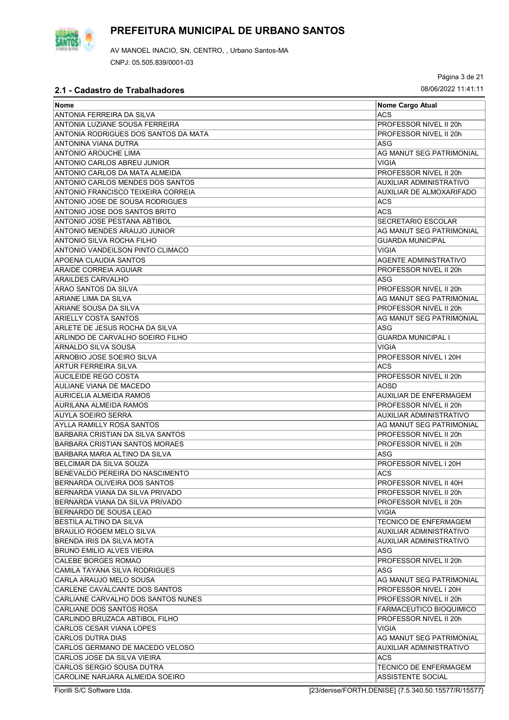

AV MANOEL INACIO, SN, CENTRO, , Urbano Santos-MA CNPJ: 05.505.839/0001-03

Página 3 de 21

### **2.1 - Cadastro de Trabalhadores** 08/06/2022 11:41:11

| Nome                                                         | Nome Cargo Atual                |
|--------------------------------------------------------------|---------------------------------|
| ANTONIA FERREIRA DA SILVA                                    | <b>ACS</b>                      |
| ANTONIA LUZIANE SOUSA FERREIRA                               | PROFESSOR NIVEL II 20h          |
| ANTONIA RODRIGUES DOS SANTOS DA MATA                         | PROFESSOR NIVEL II 20h          |
| ANTONINA VIANA DUTRA                                         | ASG                             |
| <b>ANTONIO AROUCHE LIMA</b>                                  | AG MANUT SEG PATRIMONIAL        |
| ANTONIO CARLOS ABREU JUNIOR                                  | <b>VIGIA</b>                    |
|                                                              |                                 |
| ANTONIO CARLOS DA MATA ALMEIDA                               | PROFESSOR NIVEL II 20h          |
| ANTONIO CARLOS MENDES DOS SANTOS                             | AUXILIAR ADMINISTRATIVO         |
| ANTONIO FRANCISCO TEIXEIRA CORREIA                           | <b>AUXILIAR DE ALMOXARIFADO</b> |
| ANTONIO JOSE DE SOUSA RODRIGUES                              | ACS                             |
| ANTONIO JOSE DOS SANTOS BRITO                                | <b>ACS</b>                      |
| ANTONIO JOSE PESTANA ABTIBOL                                 | <b>SECRETARIO ESCOLAR</b>       |
| ANTONIO MENDES ARAUJO JUNIOR                                 | AG MANUT SEG PATRIMONIAL        |
| ANTONIO SILVA ROCHA FILHO                                    | <b>GUARDA MUNICIPAL</b>         |
| ANTONIO VANDEILSON PINTO CLIMACO                             | <b>VIGIA</b>                    |
| APOENA CLAUDIA SANTOS                                        | <b>AGENTE ADMINISTRATIVO</b>    |
| ARAIDE CORREIA AGUIAR                                        | PROFESSOR NIVEL II 20h          |
| <b>ARAILDES CARVALHO</b>                                     | ASG                             |
| ARAO SANTOS DA SILVA                                         | PROFESSOR NIVEL II 20h          |
| ARIANE LIMA DA SILVA                                         | AG MANUT SEG PATRIMONIAL        |
| ARIANE SOUSA DA SILVA                                        | PROFESSOR NIVEL II 20h          |
| ARIELLY COSTA SANTOS                                         | AG MANUT SEG PATRIMONIAL        |
| ARLETE DE JESUS ROCHA DA SILVA                               | ASG                             |
| ARLINDO DE CARVALHO SOEIRO FILHO                             | <b>GUARDA MUNICIPAL I</b>       |
| ARNALDO SILVA SOUSA                                          | <b>VIGIA</b>                    |
| ARNOBIO JOSE SOEIRO SILVA                                    | PROFESSOR NIVEL I 20H           |
| <b>ARTUR FERREIRA SILVA</b>                                  | <b>ACS</b>                      |
| AUCILEIDE REGO COSTA                                         | PROFESSOR NIVEL II 20h          |
| AULIANE VIANA DE MACEDO                                      | <b>AOSD</b>                     |
| AURICELIA ALMEIDA RAMOS                                      | <b>AUXILIAR DE ENFERMAGEM</b>   |
| <b>AURILANA ALMEIDA RAMOS</b>                                | PROFESSOR NIVEL II 20h          |
| <b>AUYLA SOEIRO SERRA</b>                                    | <b>AUXILIAR ADMINISTRATIVO</b>  |
| AYLLA RAMILLY ROSA SANTOS                                    | AG MANUT SEG PATRIMONIAL        |
| <b>BARBARA CRISTIAN DA SILVA SANTOS</b>                      | PROFESSOR NIVEL II 20h          |
| <b>BARBARA CRISTIAN SANTOS MORAES</b>                        | PROFESSOR NIVEL II 20h          |
| BARBARA MARIA ALTINO DA SILVA                                | ASG                             |
| BELCIMAR DA SILVA SOUZA                                      | PROFESSOR NIVEL I 20H           |
| BENEVALDO PEREIRA DO NASCIMENTO                              | <b>ACS</b>                      |
| BERNARDA OLIVEIRA DOS SANTOS                                 | PROFESSOR NIVEL II 40H          |
| BERNARDA VIANA DA SILVA PRIVADO                              | PROFESSOR NIVEL II 20h          |
| BERNARDA VIANA DA SILVA PRIVADO                              | PROFESSOR NIVEL II 20h          |
| BERNARDO DE SOUSA LEAO                                       | VIGIA                           |
| BESTILA ALTINO DA SILVA                                      | <b>TECNICO DE ENFERMAGEM</b>    |
|                                                              |                                 |
| <b>BRAULIO ROGEM MELO SILVA</b><br>BRENDA IRIS DA SILVA MOTA | AUXILIAR ADMINISTRATIVO         |
|                                                              | AUXILIAR ADMINISTRATIVO         |
| <b>BRUNO EMILIO ALVES VIEIRA</b>                             | ASG                             |
| CALEBE BORGES ROMAO                                          | PROFESSOR NIVEL II 20h          |
| CAMILA TAYANA SILVA RODRIGUES                                | ASG                             |
| CARLA ARAUJO MELO SOUSA                                      | AG MANUT SEG PATRIMONIAL        |
| CARLENE CAVALCANTE DOS SANTOS                                | PROFESSOR NIVEL I 20H           |
| CARLIANE CARVALHO DOS SANTOS NUNES                           | PROFESSOR NIVEL II 20h          |
| CARLIANE DOS SANTOS ROSA                                     | FARMACEUTICO BIOQUIMICO         |
| CARLINDO BRUZACA ABTIBOL FILHO                               | PROFESSOR NIVEL II 20h          |
| <b>CARLOS CESAR VIANA LOPES</b>                              | VIGIA                           |
| CARLOS DUTRA DIAS                                            | AG MANUT SEG PATRIMONIAL        |
| CARLOS GERMANO DE MACEDO VELOSO                              | AUXILIAR ADMINISTRATIVO         |
| CARLOS JOSE DA SILVA VIEIRA                                  | <b>ACS</b>                      |
| CARLOS SERGIO SOUSA DUTRA                                    | <b>TECNICO DE ENFERMAGEM</b>    |
| CAROLINE NARJARA ALMEIDA SOEIRO                              | <b>ASSISTENTE SOCIAL</b>        |

Fiorilli S/C Software Ltda. [23/denise/FORTH.DENISE] {7.5.340.50.15577/R/15577}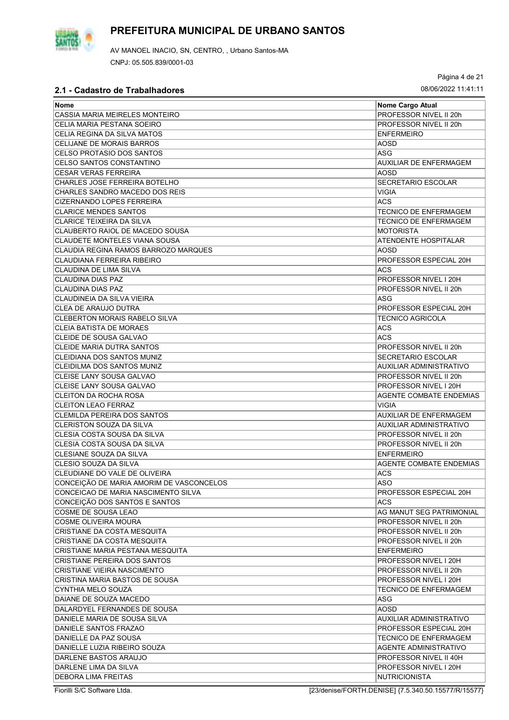

Página 4 de 21

| Nome                                               | Nome Cargo Atual               |
|----------------------------------------------------|--------------------------------|
| CASSIA MARIA MEIRELES MONTEIRO                     | PROFESSOR NIVEL II 20h         |
| CELIA MARIA PESTANA SOEIRO                         | PROFESSOR NIVEL II 20h         |
| CELIA REGINA DA SILVA MATOS                        | <b>ENFERMEIRO</b>              |
| CELIJANE DE MORAIS BARROS                          | <b>AOSD</b>                    |
| CELSO PROTASIO DOS SANTOS                          | <b>ASG</b>                     |
| CELSO SANTOS CONSTANTINO                           | <b>AUXILIAR DE ENFERMAGEM</b>  |
| <b>CESAR VERAS FERREIRA</b>                        | AOSD                           |
| CHARLES JOSE FERREIRA BOTELHO                      | <b>SECRETARIO ESCOLAR</b>      |
| CHARLES SANDRO MACEDO DOS REIS                     | <b>VIGIA</b>                   |
| <b>CIZERNANDO LOPES FERREIRA</b>                   | <b>ACS</b>                     |
| <b>CLARICE MENDES SANTOS</b>                       | <b>TECNICO DE ENFERMAGEM</b>   |
| <b>CLARICE TEIXEIRA DA SILVA</b>                   | <b>TECNICO DE ENFERMAGEM</b>   |
| CLAUBERTO RAIOL DE MACEDO SOUSA                    | <b>MOTORISTA</b>               |
| CLAUDETE MONTELES VIANA SOUSA                      | ATENDENTE HOSPITALAR           |
| CLAUDIA REGINA RAMOS BARROZO MARQUES               | AOSD                           |
| CLAUDIANA FERREIRA RIBEIRO                         | PROFESSOR ESPECIAL 20H         |
|                                                    | <b>ACS</b>                     |
| CLAUDINA DE LIMA SILVA<br><b>CLAUDINA DIAS PAZ</b> | PROFESSOR NIVEL I 20H          |
|                                                    |                                |
| CLAUDINA DIAS PAZ                                  | PROFESSOR NIVEL II 20h         |
| CLAUDINEIA DA SILVA VIEIRA                         | ASG                            |
| <b>CLEA DE ARAUJO DUTRA</b>                        | PROFESSOR ESPECIAL 20H         |
| <b>CLEBERTON MORAIS RABELO SILVA</b>               | <b>TECNICO AGRICOLA</b>        |
| <b>CLEIA BATISTA DE MORAES</b>                     | <b>ACS</b>                     |
| CLEIDE DE SOUSA GALVAO                             | <b>ACS</b>                     |
| <b>CLEIDE MARIA DUTRA SANTOS</b>                   | PROFESSOR NIVEL II 20h         |
| CLEIDIANA DOS SANTOS MUNIZ                         | <b>SECRETARIO ESCOLAR</b>      |
| CLEIDILMA DOS SANTOS MUNIZ                         | <b>AUXILIAR ADMINISTRATIVO</b> |
| CLEISE LANY SOUSA GALVAO                           | PROFESSOR NIVEL II 20h         |
| CLEISE LANY SOUSA GALVAO                           | PROFESSOR NIVEL I 20H          |
| <b>CLEITON DA ROCHA ROSA</b>                       | <b>AGENTE COMBATE ENDEMIAS</b> |
| <b>CLEITON LEAO FERRAZ</b>                         | <b>VIGIA</b>                   |
| CLEMILDA PEREIRA DOS SANTOS                        | AUXILIAR DE ENFERMAGEM         |
| <b>CLERISTON SOUZA DA SILVA</b>                    | AUXILIAR ADMINISTRATIVO        |
| CLESIA COSTA SOUSA DA SILVA                        | PROFESSOR NIVEL II 20h         |
| CLESIA COSTA SOUSA DA SILVA                        | PROFESSOR NIVEL II 20h         |
| CLESIANE SOUZA DA SILVA                            | <b>ENFERMEIRO</b>              |
| CLESIO SOUZA DA SILVA                              | <b>AGENTE COMBATE ENDEMIAS</b> |
| CLEUDIANE DO VALE DE OLIVEIRA                      | <b>ACS</b>                     |
| CONCEIÇAO DE MARIA AMORIM DE VASCONCELOS           | ASO                            |
| CONCEICAO DE MARIA NASCIMENTO SILVA                | PROFESSOR ESPECIAL 20H         |
| CONCEIÇÃO DOS SANTOS E SANTOS                      | <b>ACS</b>                     |
| COSME DE SOUSA LEAO                                | AG MANUT SEG PATRIMONIAL       |
| <b>COSME OLIVEIRA MOURA</b>                        | PROFESSOR NIVEL II 20h         |
| CRISTIANE DA COSTA MESQUITA                        | PROFESSOR NIVEL II 20h         |
| CRISTIANE DA COSTA MESQUITA                        | PROFESSOR NIVEL II 20h         |
| CRISTIANE MARIA PESTANA MESQUITA                   | <b>ENFERMEIRO</b>              |
| CRISTIANE PEREIRA DOS SANTOS                       | PROFESSOR NIVEL I 20H          |
| <b>CRISTIANE VIEIRA NASCIMENTO</b>                 | PROFESSOR NIVEL II 20h         |
| CRISTINA MARIA BASTOS DE SOUSA                     | PROFESSOR NIVEL I 20H          |
| <b>CYNTHIA MELO SOUZA</b>                          | <b>TECNICO DE ENFERMAGEM</b>   |
| DAIANE DE SOUZA MACEDO                             | ASG                            |
| DALARDYEL FERNANDES DE SOUSA                       | <b>AOSD</b>                    |
| DANIELE MARIA DE SOUSA SILVA                       | <b>AUXILIAR ADMINISTRATIVO</b> |
| <b>DANIELE SANTOS FRAZAO</b>                       | PROFESSOR ESPECIAL 20H         |
| DANIELLE DA PAZ SOUSA                              | TECNICO DE ENFERMAGEM          |
| DANIELLE LUZIA RIBEIRO SOUZA                       | AGENTE ADMINISTRATIVO          |
| DARLENE BASTOS ARAUJO                              | PROFESSOR NIVEL II 40H         |
| DARLENE LIMA DA SILVA                              | PROFESSOR NIVEL I 20H          |
| <b>DEBORA LIMA FREITAS</b>                         | <b>NUTRICIONISTA</b>           |

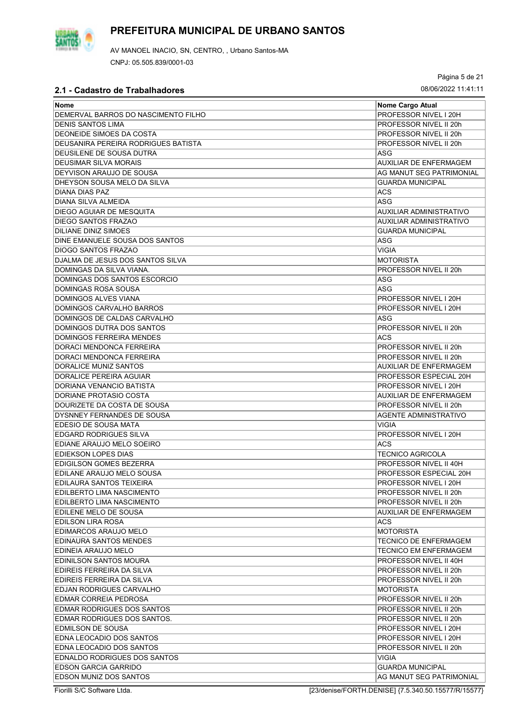

AV MANOEL INACIO, SN, CENTRO, , Urbano Santos-MA CNPJ: 05.505.839/0001-03

Página 5 de 21

## **2.1 - Cadastro de Trabalhadores** 08/06/2022 11:41:11

| <b>Nome</b>                         | Nome Cargo Atual              |
|-------------------------------------|-------------------------------|
| DEMERVAL BARROS DO NASCIMENTO FILHO | PROFESSOR NIVEL I 20H         |
| <b>DENIS SANTOS LIMA</b>            | PROFESSOR NIVEL II 20h        |
| DEONEIDE SIMOES DA COSTA            | PROFESSOR NIVEL II 20h        |
| DEUSANIRA PEREIRA RODRIGUES BATISTA | PROFESSOR NIVEL II 20h        |
| DEUSILENE DE SOUSA DUTRA            | ASG                           |
| <b>DEUSIMAR SILVA MORAIS</b>        | <b>AUXILIAR DE ENFERMAGEM</b> |
| DEYVISON ARAUJO DE SOUSA            | AG MANUT SEG PATRIMONIAL      |
| DHEYSON SOUSA MELO DA SILVA         | <b>GUARDA MUNICIPAL</b>       |
| <b>DIANA DIAS PAZ</b>               | <b>ACS</b>                    |
| DIANA SILVA ALMEIDA                 | <b>ASG</b>                    |
| DIEGO AGUIAR DE MESQUITA            | AUXILIAR ADMINISTRATIVO       |
| <b>DIEGO SANTOS FRAZAO</b>          | AUXILIAR ADMINISTRATIVO       |
| <b>DILIANE DINIZ SIMOES</b>         | <b>GUARDA MUNICIPAL</b>       |
| DINE EMANUELE SOUSA DOS SANTOS      |                               |
| <b>DIOGO SANTOS FRAZAO</b>          | ASG<br><b>VIGIA</b>           |
|                                     |                               |
| DJALMA DE JESUS DOS SANTOS SILVA    | <b>MOTORISTA</b>              |
| DOMINGAS DA SILVA VIANA.            | PROFESSOR NIVEL II 20h        |
| DOMINGAS DOS SANTOS ESCORCIO        | <b>ASG</b>                    |
| <b>DOMINGAS ROSA SOUSA</b>          | <b>ASG</b>                    |
| <b>DOMINGOS ALVES VIANA</b>         | PROFESSOR NIVEL I 20H         |
| DOMINGOS CARVALHO BARROS            | PROFESSOR NIVEL I 20H         |
| DOMINGOS DE CALDAS CARVALHO         | ASG                           |
| DOMINGOS DUTRA DOS SANTOS           | PROFESSOR NIVEL II 20h        |
| <b>DOMINGOS FERREIRA MENDES</b>     | <b>ACS</b>                    |
| DORACI MENDONCA FERREIRA            | PROFESSOR NIVEL II 20h        |
| DORACI MENDONCA FERREIRA            | PROFESSOR NIVEL II 20h        |
| DORALICE MUNIZ SANTOS               | <b>AUXILIAR DE ENFERMAGEM</b> |
| <b>DORALICE PEREIRA AGUIAR</b>      | PROFESSOR ESPECIAL 20H        |
| DORIANA VENANCIO BATISTA            | PROFESSOR NIVEL I 20H         |
| DORIANE PROTASIO COSTA              | <b>AUXILIAR DE ENFERMAGEM</b> |
| DOURIZETE DA COSTA DE SOUSA         | PROFESSOR NIVEL II 20h        |
| DYSNNEY FERNANDES DE SOUSA          | <b>AGENTE ADMINISTRATIVO</b>  |
| EDESIO DE SOUSA MATA                | <b>VIGIA</b>                  |
| <b>EDGARD RODRIGUES SILVA</b>       | PROFESSOR NIVEL I 20H         |
| EDIANE ARAUJO MELO SOEIRO           | <b>ACS</b>                    |
| <b>EDIEKSON LOPES DIAS</b>          | <b>TECNICO AGRICOLA</b>       |
| EDIGILSON GOMES BEZERRA             | PROFESSOR NIVEL II 40H        |
| EDILANE ARAUJO MELO SOUSA           | PROFESSOR ESPECIAL 20H        |
| EDILAURA SANTOS TEIXEIRA            | PROFESSOR NIVEL I 20H         |
| EDILBERTO LIMA NASCIMENTO           | PROFESSOR NIVEL II 20h        |
| EDILBERTO LIMA NASCIMENTO           | PROFESSOR NIVEL II 20h        |
| EDILENE MELO DE SOUSA               | AUXILIAR DE ENFERMAGEM        |
| EDILSON LIRA ROSA                   | <b>ACS</b>                    |
| EDIMARCOS ARAUJO MELO               | <b>MOTORISTA</b>              |
| EDINAURA SANTOS MENDES              | <b>TECNICO DE ENFERMAGEM</b>  |
| EDINEIA ARAUJO MELO                 | TECNICO EM ENFERMAGEM         |
| EDINILSON SANTOS MOURA              | PROFESSOR NIVEL II 40H        |
| EDIREIS FERREIRA DA SILVA           | PROFESSOR NIVEL II 20h        |
| EDIREIS FERREIRA DA SILVA           | PROFESSOR NIVEL II 20h        |
| EDJAN RODRIGUES CARVALHO            | <b>MOTORISTA</b>              |
| EDMAR CORREIA PEDROSA               | PROFESSOR NIVEL II 20h        |
| EDMAR RODRIGUES DOS SANTOS          | PROFESSOR NIVEL II 20h        |
| EDMAR RODRIGUES DOS SANTOS.         | PROFESSOR NIVEL II 20h        |
| EDMILSON DE SOUSA                   | PROFESSOR NIVEL I 20H         |
| EDNA LEOCADIO DOS SANTOS            | PROFESSOR NIVEL I 20H         |
| EDNA LEOCADIO DOS SANTOS            | PROFESSOR NIVEL II 20h        |
| EDNALDO RODRIGUES DOS SANTOS        | VIGIA                         |
| <b>EDSON GARCIA GARRIDO</b>         | <b>GUARDA MUNICIPAL</b>       |
| EDSON MUNIZ DOS SANTOS              | AG MANUT SEG PATRIMONIAL      |
|                                     |                               |

Fiorilli S/C Software Ltda. [23/denise/FORTH.DENISE] {7.5.340.50.15577/R/15577}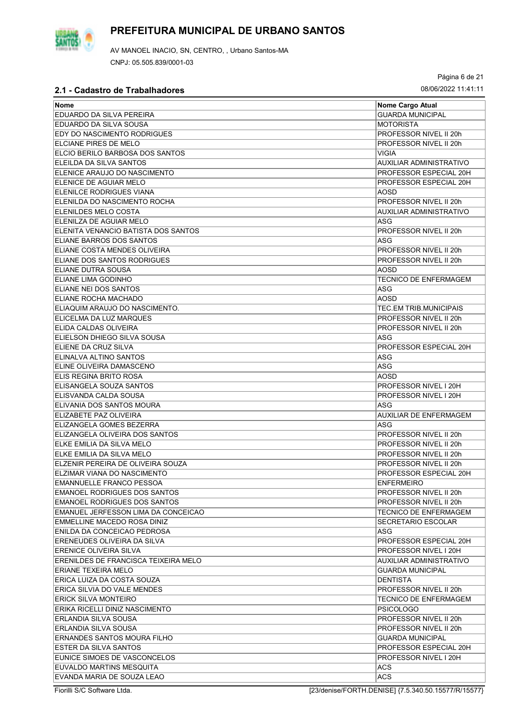

Página 6 de 21

| ∣Nome                                | Nome Cargo Atual              |
|--------------------------------------|-------------------------------|
| EDUARDO DA SILVA PEREIRA             | <b>GUARDA MUNICIPAL</b>       |
| EDUARDO DA SILVA SOUSA               | <b>MOTORISTA</b>              |
| EDY DO NASCIMENTO RODRIGUES          | PROFESSOR NIVEL II 20h        |
| ELCIANE PIRES DE MELO                | PROFESSOR NIVEL II 20h        |
| ELCIO BERILO BARBOSA DOS SANTOS      | <b>VIGIA</b>                  |
| <b>ELEILDA DA SILVA SANTOS</b>       | AUXILIAR ADMINISTRATIVO       |
| ELENICE ARAUJO DO NASCIMENTO         | PROFESSOR ESPECIAL 20H        |
| ELENICE DE AGUIAR MELO               | PROFESSOR ESPECIAL 20H        |
| <b>ELENILCE RODRIGUES VIANA</b>      | AOSD                          |
| IELENILDA DO NASCIMENTO ROCHA        | PROFESSOR NIVEL II 20h        |
| ELENILDES MELO COSTA                 | AUXILIAR ADMINISTRATIVO       |
| ELENILZA DE AGUIAR MELO              | <b>ASG</b>                    |
| IELENITA VENANCIO BATISTA DOS SANTOS | PROFESSOR NIVEL II 20h        |
| ELIANE BARROS DOS SANTOS             | ASG                           |
| ELIANE COSTA MENDES OLIVEIRA         | PROFESSOR NIVEL II 20h        |
| ELIANE DOS SANTOS RODRIGUES          | PROFESSOR NIVEL II 20h        |
| ELIANE DUTRA SOUSA                   | AOSD                          |
| ELIANE LIMA GODINHO                  | <b>TECNICO DE ENFERMAGEM</b>  |
| ELIANE NEI DOS SANTOS                | <b>ASG</b>                    |
|                                      |                               |
| ELIANE ROCHA MACHADO                 | AOSD                          |
| ELIAQUIM ARAUJO DO NASCIMENTO.       | <b>TEC.EM TRIB MUNICIPAIS</b> |
| ELICELMA DA LUZ MARQUES              | PROFESSOR NIVEL II 20h        |
| ELIDA CALDAS OLIVEIRA                | PROFESSOR NIVEL II 20h        |
| IELIELSON DHIEGO SILVA SOUSA         | ASG                           |
| ELIENE DA CRUZ SILVA                 | PROFESSOR ESPECIAL 20H        |
| ELINALVA ALTINO SANTOS               | ASG                           |
| ELINE OLIVEIRA DAMASCENO             | <b>ASG</b>                    |
| ELIS REGINA BRITO ROSA               | AOSD                          |
| ELISANGELA SOUZA SANTOS              | PROFESSOR NIVEL I 20H         |
| ELISVANDA CALDA SOUSA                | PROFESSOR NIVEL I 20H         |
| ELIVANIA DOS SANTOS MOURA            | ASG                           |
| <b>ELIZABETE PAZ OLIVEIRA</b>        | <b>AUXILIAR DE ENFERMAGEM</b> |
| ELIZANGELA GOMES BEZERRA             | ASG                           |
| IELIZANGELA OLIVEIRA DOS SANTOS      | PROFESSOR NIVEL II 20h        |
| ELKE EMILIA DA SILVA MELO            | PROFESSOR NIVEL II 20h        |
| ELKE EMILIA DA SILVA MELO            | PROFESSOR NIVEL II 20h        |
| ELZENIR PEREIRA DE OLIVEIRA SOUZA    | PROFESSOR NIVEL II 20h        |
| ELZIMAR VIANA DO NASCIMENTO          | PROFESSOR ESPECIAL 20H        |
| <b>EMANNUELLE FRANCO PESSOA</b>      | <b>ENFERMEIRO</b>             |
| <b>EMANOEL RODRIGUES DOS SANTOS</b>  | PROFESSOR NIVEL II 20h        |
| <b>EMANOEL RODRIGUES DOS SANTOS</b>  | PROFESSOR NIVEL II 20h        |
| EMANUEL JERFESSON LIMA DA CONCEICAO  | <b>TECNICO DE ENFERMAGEM</b>  |
| EMMELLINE MACEDO ROSA DINIZ          | <b>SECRETARIO ESCOLAR</b>     |
| ENILDA DA CONCEICAO PEDROSA          | ASG                           |
| ERENEUDES OLIVEIRA DA SILVA          | PROFESSOR ESPECIAL 20H        |
| ERENICE OLIVEIRA SILVA               | PROFESSOR NIVEL I 20H         |
| ERENILDES DE FRANCISCA TEIXEIRA MELO | AUXILIAR ADMINISTRATIVO       |
| ERIANE TEXEIRA MELO                  | <b>GUARDA MUNICIPAL</b>       |
| ERICA LUIZA DA COSTA SOUZA           | <b>DENTISTA</b>               |
| ERICA SILVIA DO VALE MENDES          | PROFESSOR NIVEL II 20h        |
| IERICK SILVA MONTEIRO                | <b>TECNICO DE ENFERMAGEM</b>  |
| ERIKA RICELLI DINIZ NASCIMENTO       | <b>PSICOLOGO</b>              |
| IERLANDIA SILVA SOUSA                | PROFESSOR NIVEL II 20h        |
| IERLANDIA SILVA SOUSA                | PROFESSOR NIVEL II 20h        |
| ERNANDES SANTOS MOURA FILHO          | <b>GUARDA MUNICIPAL</b>       |
| ESTER DA SILVA SANTOS                | PROFESSOR ESPECIAL 20H        |
| EUNICE SIMOES DE VASCONCELOS         | PROFESSOR NIVEL I 20H         |
| EUVALDO MARTINS MESQUITA             | ACS.                          |
| EVANDA MARIA DE SOUZA LEAO           | <b>ACS</b>                    |
|                                      |                               |

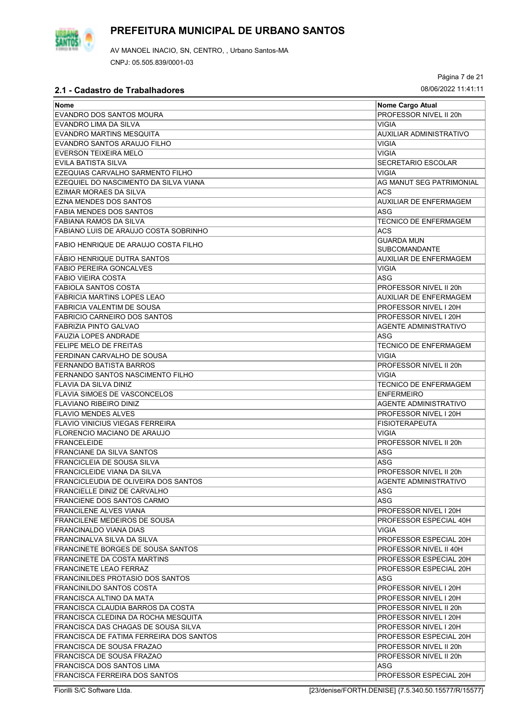

AV MANOEL INACIO, SN, CENTRO, , Urbano Santos-MA CNPJ: 05.505.839/0001-03

Página 7 de 21

| PROFESSOR NIVEL II 20h<br>EVANDRO DOS SANTOS MOURA<br>EVANDRO LIMA DA SILVA<br><b>VIGIA</b><br><b>EVANDRO MARTINS MESQUITA</b><br>AUXILIAR ADMINISTRATIVO<br>EVANDRO SANTOS ARAUJO FILHO<br><b>VIGIA</b><br><b>EVERSON TEIXEIRA MELO</b><br><b>VIGIA</b><br>EVILA BATISTA SILVA<br><b>SECRETARIO ESCOLAR</b><br>EZEQUIAS CARVALHO SARMENTO FILHO<br><b>VIGIA</b><br>EZEQUIEL DO NASCIMENTO DA SILVA VIANA<br>AG MANUT SEG PATRIMONIAL<br><b>EZIMAR MORAES DA SILVA</b><br>ACS<br><b>EZNA MENDES DOS SANTOS</b><br><b>AUXILIAR DE ENFERMAGEM</b><br><b>ASG</b><br><b>FABIA MENDES DOS SANTOS</b><br>FABIANA RAMOS DA SILVA<br><b>TECNICO DE ENFERMAGEM</b><br><b>ACS</b><br>FABIANO LUIS DE ARAUJO COSTA SOBRINHO<br><b>GUARDA MUN</b><br>FABIO HENRIQUE DE ARAUJO COSTA FILHO<br><b>SUBCOMANDANTE</b><br>FABIO HENRIQUE DUTRA SANTOS<br><b>AUXILIAR DE ENFERMAGEM</b><br><b>VIGIA</b><br><b>FABIO PEREIRA GONCALVES</b><br>ASG<br><b>FABIO VIEIRA COSTA</b><br><b>FABIOLA SANTOS COSTA</b><br>PROFESSOR NIVEL II 20h<br><b>FABRICIA MARTINS LOPES LEAO</b><br><b>AUXILIAR DE ENFERMAGEM</b><br>FABRICIA VALENTIM DE SOUSA<br>PROFESSOR NIVEL I 20H<br><b>FABRICIO CARNEIRO DOS SANTOS</b><br>PROFESSOR NIVEL I 20H<br><b>FABRIZIA PINTO GALVAO</b><br><b>AGENTE ADMINISTRATIVO</b><br><b>FAUZIA LOPES ANDRADE</b><br>ASG<br><b>FELIPE MELO DE FREITAS</b><br><b>TECNICO DE ENFERMAGEM</b><br>FERDINAN CARVALHO DE SOUSA<br><b>VIGIA</b><br>FERNANDO BATISTA BARROS<br>PROFESSOR NIVEL II 20h<br><b>VIGIA</b><br>FERNANDO SANTOS NASCIMENTO FILHO<br><b>TECNICO DE ENFERMAGEM</b><br>FLAVIA DA SILVA DINIZ<br><b>FLAVIA SIMOES DE VASCONCELOS</b><br><b>ENFERMEIRO</b><br><b>FLAVIANO RIBEIRO DINIZ</b><br><b>AGENTE ADMINISTRATIVO</b><br><b>FLAVIO MENDES ALVES</b><br>PROFESSOR NIVEL I 20H<br><b>FLAVIO VINICIUS VIEGAS FERREIRA</b><br><b>FISIOTERAPEUTA</b><br>FLORENCIO MACIANO DE ARAUJO<br>VIGIA<br>PROFESSOR NIVEL II 20h<br><b>FRANCELEIDE</b><br><b>ASG</b><br><b>FRANCIANE DA SILVA SANTOS</b><br><b>ASG</b><br><b>FRANCICLEIA DE SOUSA SILVA</b><br><b>FRANCICLEIDE VIANA DA SILVA</b><br>PROFESSOR NIVEL II 20h<br><b>FRANCICLEUDIA DE OLIVEIRA DOS SANTOS</b><br>AGENTE ADMINISTRATIVO<br><b>FRANCIELLE DINIZ DE CARVALHO</b><br>ASG<br>ASG<br>FRANCIENE DOS SANTOS CARMO<br><b>FRANCILENE ALVES VIANA</b><br>PROFESSOR NIVEL I 20H<br><b>FRANCILENE MEDEIROS DE SOUSA</b><br>PROFESSOR ESPECIAL 40H<br><b>FRANCINALDO VIANA DIAS</b><br>VIGIA<br>FRANCINALVA SILVA DA SILVA<br>PROFESSOR ESPECIAL 20H<br>FRANCINETE BORGES DE SOUSA SANTOS<br>PROFESSOR NIVEL II 40H<br><b>FRANCINETE DA COSTA MARTINS</b><br>PROFESSOR ESPECIAL 20H<br><b>FRANCINETE LEAO FERRAZ</b><br>PROFESSOR ESPECIAL 20H<br><b>FRANCINILDES PROTASIO DOS SANTOS</b><br>ASG<br><b>FRANCINILDO SANTOS COSTA</b><br>PROFESSOR NIVEL I 20H<br>FRANCISCA ALTINO DA MATA<br>PROFESSOR NIVEL I 20H<br>FRANCISCA CLAUDIA BARROS DA COSTA<br>PROFESSOR NIVEL II 20h<br>FRANCISCA CLEDINA DA ROCHA MESQUITA<br>PROFESSOR NIVEL I 20H<br>FRANCISCA DAS CHAGAS DE SOUSA SILVA<br>PROFESSOR NIVEL I 20H<br>FRANCISCA DE FATIMA FERREIRA DOS SANTOS<br>PROFESSOR ESPECIAL 20H<br>FRANCISCA DE SOUSA FRAZAO<br>PROFESSOR NIVEL II 20h<br>FRANCISCA DE SOUSA FRAZAO<br>PROFESSOR NIVEL II 20h<br>FRANCISCA DOS SANTOS LIMA<br>ASG | <b>Nome</b>                   | <b>Nome Cargo Atual</b> |
|----------------------------------------------------------------------------------------------------------------------------------------------------------------------------------------------------------------------------------------------------------------------------------------------------------------------------------------------------------------------------------------------------------------------------------------------------------------------------------------------------------------------------------------------------------------------------------------------------------------------------------------------------------------------------------------------------------------------------------------------------------------------------------------------------------------------------------------------------------------------------------------------------------------------------------------------------------------------------------------------------------------------------------------------------------------------------------------------------------------------------------------------------------------------------------------------------------------------------------------------------------------------------------------------------------------------------------------------------------------------------------------------------------------------------------------------------------------------------------------------------------------------------------------------------------------------------------------------------------------------------------------------------------------------------------------------------------------------------------------------------------------------------------------------------------------------------------------------------------------------------------------------------------------------------------------------------------------------------------------------------------------------------------------------------------------------------------------------------------------------------------------------------------------------------------------------------------------------------------------------------------------------------------------------------------------------------------------------------------------------------------------------------------------------------------------------------------------------------------------------------------------------------------------------------------------------------------------------------------------------------------------------------------------------------------------------------------------------------------------------------------------------------------------------------------------------------------------------------------------------------------------------------------------------------------------------------------------------------------------------------------------------------------------------------------------------------------------------------------------------------------------------------------------------------------------------------------------------------------------------------------------------------------------------------------|-------------------------------|-------------------------|
|                                                                                                                                                                                                                                                                                                                                                                                                                                                                                                                                                                                                                                                                                                                                                                                                                                                                                                                                                                                                                                                                                                                                                                                                                                                                                                                                                                                                                                                                                                                                                                                                                                                                                                                                                                                                                                                                                                                                                                                                                                                                                                                                                                                                                                                                                                                                                                                                                                                                                                                                                                                                                                                                                                                                                                                                                                                                                                                                                                                                                                                                                                                                                                                                                                                                                                          |                               |                         |
|                                                                                                                                                                                                                                                                                                                                                                                                                                                                                                                                                                                                                                                                                                                                                                                                                                                                                                                                                                                                                                                                                                                                                                                                                                                                                                                                                                                                                                                                                                                                                                                                                                                                                                                                                                                                                                                                                                                                                                                                                                                                                                                                                                                                                                                                                                                                                                                                                                                                                                                                                                                                                                                                                                                                                                                                                                                                                                                                                                                                                                                                                                                                                                                                                                                                                                          |                               |                         |
|                                                                                                                                                                                                                                                                                                                                                                                                                                                                                                                                                                                                                                                                                                                                                                                                                                                                                                                                                                                                                                                                                                                                                                                                                                                                                                                                                                                                                                                                                                                                                                                                                                                                                                                                                                                                                                                                                                                                                                                                                                                                                                                                                                                                                                                                                                                                                                                                                                                                                                                                                                                                                                                                                                                                                                                                                                                                                                                                                                                                                                                                                                                                                                                                                                                                                                          |                               |                         |
|                                                                                                                                                                                                                                                                                                                                                                                                                                                                                                                                                                                                                                                                                                                                                                                                                                                                                                                                                                                                                                                                                                                                                                                                                                                                                                                                                                                                                                                                                                                                                                                                                                                                                                                                                                                                                                                                                                                                                                                                                                                                                                                                                                                                                                                                                                                                                                                                                                                                                                                                                                                                                                                                                                                                                                                                                                                                                                                                                                                                                                                                                                                                                                                                                                                                                                          |                               |                         |
|                                                                                                                                                                                                                                                                                                                                                                                                                                                                                                                                                                                                                                                                                                                                                                                                                                                                                                                                                                                                                                                                                                                                                                                                                                                                                                                                                                                                                                                                                                                                                                                                                                                                                                                                                                                                                                                                                                                                                                                                                                                                                                                                                                                                                                                                                                                                                                                                                                                                                                                                                                                                                                                                                                                                                                                                                                                                                                                                                                                                                                                                                                                                                                                                                                                                                                          |                               |                         |
|                                                                                                                                                                                                                                                                                                                                                                                                                                                                                                                                                                                                                                                                                                                                                                                                                                                                                                                                                                                                                                                                                                                                                                                                                                                                                                                                                                                                                                                                                                                                                                                                                                                                                                                                                                                                                                                                                                                                                                                                                                                                                                                                                                                                                                                                                                                                                                                                                                                                                                                                                                                                                                                                                                                                                                                                                                                                                                                                                                                                                                                                                                                                                                                                                                                                                                          |                               |                         |
|                                                                                                                                                                                                                                                                                                                                                                                                                                                                                                                                                                                                                                                                                                                                                                                                                                                                                                                                                                                                                                                                                                                                                                                                                                                                                                                                                                                                                                                                                                                                                                                                                                                                                                                                                                                                                                                                                                                                                                                                                                                                                                                                                                                                                                                                                                                                                                                                                                                                                                                                                                                                                                                                                                                                                                                                                                                                                                                                                                                                                                                                                                                                                                                                                                                                                                          |                               |                         |
|                                                                                                                                                                                                                                                                                                                                                                                                                                                                                                                                                                                                                                                                                                                                                                                                                                                                                                                                                                                                                                                                                                                                                                                                                                                                                                                                                                                                                                                                                                                                                                                                                                                                                                                                                                                                                                                                                                                                                                                                                                                                                                                                                                                                                                                                                                                                                                                                                                                                                                                                                                                                                                                                                                                                                                                                                                                                                                                                                                                                                                                                                                                                                                                                                                                                                                          |                               |                         |
|                                                                                                                                                                                                                                                                                                                                                                                                                                                                                                                                                                                                                                                                                                                                                                                                                                                                                                                                                                                                                                                                                                                                                                                                                                                                                                                                                                                                                                                                                                                                                                                                                                                                                                                                                                                                                                                                                                                                                                                                                                                                                                                                                                                                                                                                                                                                                                                                                                                                                                                                                                                                                                                                                                                                                                                                                                                                                                                                                                                                                                                                                                                                                                                                                                                                                                          |                               |                         |
|                                                                                                                                                                                                                                                                                                                                                                                                                                                                                                                                                                                                                                                                                                                                                                                                                                                                                                                                                                                                                                                                                                                                                                                                                                                                                                                                                                                                                                                                                                                                                                                                                                                                                                                                                                                                                                                                                                                                                                                                                                                                                                                                                                                                                                                                                                                                                                                                                                                                                                                                                                                                                                                                                                                                                                                                                                                                                                                                                                                                                                                                                                                                                                                                                                                                                                          |                               |                         |
|                                                                                                                                                                                                                                                                                                                                                                                                                                                                                                                                                                                                                                                                                                                                                                                                                                                                                                                                                                                                                                                                                                                                                                                                                                                                                                                                                                                                                                                                                                                                                                                                                                                                                                                                                                                                                                                                                                                                                                                                                                                                                                                                                                                                                                                                                                                                                                                                                                                                                                                                                                                                                                                                                                                                                                                                                                                                                                                                                                                                                                                                                                                                                                                                                                                                                                          |                               |                         |
|                                                                                                                                                                                                                                                                                                                                                                                                                                                                                                                                                                                                                                                                                                                                                                                                                                                                                                                                                                                                                                                                                                                                                                                                                                                                                                                                                                                                                                                                                                                                                                                                                                                                                                                                                                                                                                                                                                                                                                                                                                                                                                                                                                                                                                                                                                                                                                                                                                                                                                                                                                                                                                                                                                                                                                                                                                                                                                                                                                                                                                                                                                                                                                                                                                                                                                          |                               |                         |
|                                                                                                                                                                                                                                                                                                                                                                                                                                                                                                                                                                                                                                                                                                                                                                                                                                                                                                                                                                                                                                                                                                                                                                                                                                                                                                                                                                                                                                                                                                                                                                                                                                                                                                                                                                                                                                                                                                                                                                                                                                                                                                                                                                                                                                                                                                                                                                                                                                                                                                                                                                                                                                                                                                                                                                                                                                                                                                                                                                                                                                                                                                                                                                                                                                                                                                          |                               |                         |
|                                                                                                                                                                                                                                                                                                                                                                                                                                                                                                                                                                                                                                                                                                                                                                                                                                                                                                                                                                                                                                                                                                                                                                                                                                                                                                                                                                                                                                                                                                                                                                                                                                                                                                                                                                                                                                                                                                                                                                                                                                                                                                                                                                                                                                                                                                                                                                                                                                                                                                                                                                                                                                                                                                                                                                                                                                                                                                                                                                                                                                                                                                                                                                                                                                                                                                          |                               |                         |
|                                                                                                                                                                                                                                                                                                                                                                                                                                                                                                                                                                                                                                                                                                                                                                                                                                                                                                                                                                                                                                                                                                                                                                                                                                                                                                                                                                                                                                                                                                                                                                                                                                                                                                                                                                                                                                                                                                                                                                                                                                                                                                                                                                                                                                                                                                                                                                                                                                                                                                                                                                                                                                                                                                                                                                                                                                                                                                                                                                                                                                                                                                                                                                                                                                                                                                          |                               |                         |
|                                                                                                                                                                                                                                                                                                                                                                                                                                                                                                                                                                                                                                                                                                                                                                                                                                                                                                                                                                                                                                                                                                                                                                                                                                                                                                                                                                                                                                                                                                                                                                                                                                                                                                                                                                                                                                                                                                                                                                                                                                                                                                                                                                                                                                                                                                                                                                                                                                                                                                                                                                                                                                                                                                                                                                                                                                                                                                                                                                                                                                                                                                                                                                                                                                                                                                          |                               |                         |
|                                                                                                                                                                                                                                                                                                                                                                                                                                                                                                                                                                                                                                                                                                                                                                                                                                                                                                                                                                                                                                                                                                                                                                                                                                                                                                                                                                                                                                                                                                                                                                                                                                                                                                                                                                                                                                                                                                                                                                                                                                                                                                                                                                                                                                                                                                                                                                                                                                                                                                                                                                                                                                                                                                                                                                                                                                                                                                                                                                                                                                                                                                                                                                                                                                                                                                          |                               |                         |
|                                                                                                                                                                                                                                                                                                                                                                                                                                                                                                                                                                                                                                                                                                                                                                                                                                                                                                                                                                                                                                                                                                                                                                                                                                                                                                                                                                                                                                                                                                                                                                                                                                                                                                                                                                                                                                                                                                                                                                                                                                                                                                                                                                                                                                                                                                                                                                                                                                                                                                                                                                                                                                                                                                                                                                                                                                                                                                                                                                                                                                                                                                                                                                                                                                                                                                          |                               |                         |
|                                                                                                                                                                                                                                                                                                                                                                                                                                                                                                                                                                                                                                                                                                                                                                                                                                                                                                                                                                                                                                                                                                                                                                                                                                                                                                                                                                                                                                                                                                                                                                                                                                                                                                                                                                                                                                                                                                                                                                                                                                                                                                                                                                                                                                                                                                                                                                                                                                                                                                                                                                                                                                                                                                                                                                                                                                                                                                                                                                                                                                                                                                                                                                                                                                                                                                          |                               |                         |
|                                                                                                                                                                                                                                                                                                                                                                                                                                                                                                                                                                                                                                                                                                                                                                                                                                                                                                                                                                                                                                                                                                                                                                                                                                                                                                                                                                                                                                                                                                                                                                                                                                                                                                                                                                                                                                                                                                                                                                                                                                                                                                                                                                                                                                                                                                                                                                                                                                                                                                                                                                                                                                                                                                                                                                                                                                                                                                                                                                                                                                                                                                                                                                                                                                                                                                          |                               |                         |
|                                                                                                                                                                                                                                                                                                                                                                                                                                                                                                                                                                                                                                                                                                                                                                                                                                                                                                                                                                                                                                                                                                                                                                                                                                                                                                                                                                                                                                                                                                                                                                                                                                                                                                                                                                                                                                                                                                                                                                                                                                                                                                                                                                                                                                                                                                                                                                                                                                                                                                                                                                                                                                                                                                                                                                                                                                                                                                                                                                                                                                                                                                                                                                                                                                                                                                          |                               |                         |
|                                                                                                                                                                                                                                                                                                                                                                                                                                                                                                                                                                                                                                                                                                                                                                                                                                                                                                                                                                                                                                                                                                                                                                                                                                                                                                                                                                                                                                                                                                                                                                                                                                                                                                                                                                                                                                                                                                                                                                                                                                                                                                                                                                                                                                                                                                                                                                                                                                                                                                                                                                                                                                                                                                                                                                                                                                                                                                                                                                                                                                                                                                                                                                                                                                                                                                          |                               |                         |
|                                                                                                                                                                                                                                                                                                                                                                                                                                                                                                                                                                                                                                                                                                                                                                                                                                                                                                                                                                                                                                                                                                                                                                                                                                                                                                                                                                                                                                                                                                                                                                                                                                                                                                                                                                                                                                                                                                                                                                                                                                                                                                                                                                                                                                                                                                                                                                                                                                                                                                                                                                                                                                                                                                                                                                                                                                                                                                                                                                                                                                                                                                                                                                                                                                                                                                          |                               |                         |
|                                                                                                                                                                                                                                                                                                                                                                                                                                                                                                                                                                                                                                                                                                                                                                                                                                                                                                                                                                                                                                                                                                                                                                                                                                                                                                                                                                                                                                                                                                                                                                                                                                                                                                                                                                                                                                                                                                                                                                                                                                                                                                                                                                                                                                                                                                                                                                                                                                                                                                                                                                                                                                                                                                                                                                                                                                                                                                                                                                                                                                                                                                                                                                                                                                                                                                          |                               |                         |
|                                                                                                                                                                                                                                                                                                                                                                                                                                                                                                                                                                                                                                                                                                                                                                                                                                                                                                                                                                                                                                                                                                                                                                                                                                                                                                                                                                                                                                                                                                                                                                                                                                                                                                                                                                                                                                                                                                                                                                                                                                                                                                                                                                                                                                                                                                                                                                                                                                                                                                                                                                                                                                                                                                                                                                                                                                                                                                                                                                                                                                                                                                                                                                                                                                                                                                          |                               |                         |
|                                                                                                                                                                                                                                                                                                                                                                                                                                                                                                                                                                                                                                                                                                                                                                                                                                                                                                                                                                                                                                                                                                                                                                                                                                                                                                                                                                                                                                                                                                                                                                                                                                                                                                                                                                                                                                                                                                                                                                                                                                                                                                                                                                                                                                                                                                                                                                                                                                                                                                                                                                                                                                                                                                                                                                                                                                                                                                                                                                                                                                                                                                                                                                                                                                                                                                          |                               |                         |
|                                                                                                                                                                                                                                                                                                                                                                                                                                                                                                                                                                                                                                                                                                                                                                                                                                                                                                                                                                                                                                                                                                                                                                                                                                                                                                                                                                                                                                                                                                                                                                                                                                                                                                                                                                                                                                                                                                                                                                                                                                                                                                                                                                                                                                                                                                                                                                                                                                                                                                                                                                                                                                                                                                                                                                                                                                                                                                                                                                                                                                                                                                                                                                                                                                                                                                          |                               |                         |
|                                                                                                                                                                                                                                                                                                                                                                                                                                                                                                                                                                                                                                                                                                                                                                                                                                                                                                                                                                                                                                                                                                                                                                                                                                                                                                                                                                                                                                                                                                                                                                                                                                                                                                                                                                                                                                                                                                                                                                                                                                                                                                                                                                                                                                                                                                                                                                                                                                                                                                                                                                                                                                                                                                                                                                                                                                                                                                                                                                                                                                                                                                                                                                                                                                                                                                          |                               |                         |
|                                                                                                                                                                                                                                                                                                                                                                                                                                                                                                                                                                                                                                                                                                                                                                                                                                                                                                                                                                                                                                                                                                                                                                                                                                                                                                                                                                                                                                                                                                                                                                                                                                                                                                                                                                                                                                                                                                                                                                                                                                                                                                                                                                                                                                                                                                                                                                                                                                                                                                                                                                                                                                                                                                                                                                                                                                                                                                                                                                                                                                                                                                                                                                                                                                                                                                          |                               |                         |
|                                                                                                                                                                                                                                                                                                                                                                                                                                                                                                                                                                                                                                                                                                                                                                                                                                                                                                                                                                                                                                                                                                                                                                                                                                                                                                                                                                                                                                                                                                                                                                                                                                                                                                                                                                                                                                                                                                                                                                                                                                                                                                                                                                                                                                                                                                                                                                                                                                                                                                                                                                                                                                                                                                                                                                                                                                                                                                                                                                                                                                                                                                                                                                                                                                                                                                          |                               |                         |
|                                                                                                                                                                                                                                                                                                                                                                                                                                                                                                                                                                                                                                                                                                                                                                                                                                                                                                                                                                                                                                                                                                                                                                                                                                                                                                                                                                                                                                                                                                                                                                                                                                                                                                                                                                                                                                                                                                                                                                                                                                                                                                                                                                                                                                                                                                                                                                                                                                                                                                                                                                                                                                                                                                                                                                                                                                                                                                                                                                                                                                                                                                                                                                                                                                                                                                          |                               |                         |
|                                                                                                                                                                                                                                                                                                                                                                                                                                                                                                                                                                                                                                                                                                                                                                                                                                                                                                                                                                                                                                                                                                                                                                                                                                                                                                                                                                                                                                                                                                                                                                                                                                                                                                                                                                                                                                                                                                                                                                                                                                                                                                                                                                                                                                                                                                                                                                                                                                                                                                                                                                                                                                                                                                                                                                                                                                                                                                                                                                                                                                                                                                                                                                                                                                                                                                          |                               |                         |
|                                                                                                                                                                                                                                                                                                                                                                                                                                                                                                                                                                                                                                                                                                                                                                                                                                                                                                                                                                                                                                                                                                                                                                                                                                                                                                                                                                                                                                                                                                                                                                                                                                                                                                                                                                                                                                                                                                                                                                                                                                                                                                                                                                                                                                                                                                                                                                                                                                                                                                                                                                                                                                                                                                                                                                                                                                                                                                                                                                                                                                                                                                                                                                                                                                                                                                          |                               |                         |
|                                                                                                                                                                                                                                                                                                                                                                                                                                                                                                                                                                                                                                                                                                                                                                                                                                                                                                                                                                                                                                                                                                                                                                                                                                                                                                                                                                                                                                                                                                                                                                                                                                                                                                                                                                                                                                                                                                                                                                                                                                                                                                                                                                                                                                                                                                                                                                                                                                                                                                                                                                                                                                                                                                                                                                                                                                                                                                                                                                                                                                                                                                                                                                                                                                                                                                          |                               |                         |
|                                                                                                                                                                                                                                                                                                                                                                                                                                                                                                                                                                                                                                                                                                                                                                                                                                                                                                                                                                                                                                                                                                                                                                                                                                                                                                                                                                                                                                                                                                                                                                                                                                                                                                                                                                                                                                                                                                                                                                                                                                                                                                                                                                                                                                                                                                                                                                                                                                                                                                                                                                                                                                                                                                                                                                                                                                                                                                                                                                                                                                                                                                                                                                                                                                                                                                          |                               |                         |
|                                                                                                                                                                                                                                                                                                                                                                                                                                                                                                                                                                                                                                                                                                                                                                                                                                                                                                                                                                                                                                                                                                                                                                                                                                                                                                                                                                                                                                                                                                                                                                                                                                                                                                                                                                                                                                                                                                                                                                                                                                                                                                                                                                                                                                                                                                                                                                                                                                                                                                                                                                                                                                                                                                                                                                                                                                                                                                                                                                                                                                                                                                                                                                                                                                                                                                          |                               |                         |
|                                                                                                                                                                                                                                                                                                                                                                                                                                                                                                                                                                                                                                                                                                                                                                                                                                                                                                                                                                                                                                                                                                                                                                                                                                                                                                                                                                                                                                                                                                                                                                                                                                                                                                                                                                                                                                                                                                                                                                                                                                                                                                                                                                                                                                                                                                                                                                                                                                                                                                                                                                                                                                                                                                                                                                                                                                                                                                                                                                                                                                                                                                                                                                                                                                                                                                          |                               |                         |
|                                                                                                                                                                                                                                                                                                                                                                                                                                                                                                                                                                                                                                                                                                                                                                                                                                                                                                                                                                                                                                                                                                                                                                                                                                                                                                                                                                                                                                                                                                                                                                                                                                                                                                                                                                                                                                                                                                                                                                                                                                                                                                                                                                                                                                                                                                                                                                                                                                                                                                                                                                                                                                                                                                                                                                                                                                                                                                                                                                                                                                                                                                                                                                                                                                                                                                          |                               |                         |
|                                                                                                                                                                                                                                                                                                                                                                                                                                                                                                                                                                                                                                                                                                                                                                                                                                                                                                                                                                                                                                                                                                                                                                                                                                                                                                                                                                                                                                                                                                                                                                                                                                                                                                                                                                                                                                                                                                                                                                                                                                                                                                                                                                                                                                                                                                                                                                                                                                                                                                                                                                                                                                                                                                                                                                                                                                                                                                                                                                                                                                                                                                                                                                                                                                                                                                          |                               |                         |
|                                                                                                                                                                                                                                                                                                                                                                                                                                                                                                                                                                                                                                                                                                                                                                                                                                                                                                                                                                                                                                                                                                                                                                                                                                                                                                                                                                                                                                                                                                                                                                                                                                                                                                                                                                                                                                                                                                                                                                                                                                                                                                                                                                                                                                                                                                                                                                                                                                                                                                                                                                                                                                                                                                                                                                                                                                                                                                                                                                                                                                                                                                                                                                                                                                                                                                          |                               |                         |
|                                                                                                                                                                                                                                                                                                                                                                                                                                                                                                                                                                                                                                                                                                                                                                                                                                                                                                                                                                                                                                                                                                                                                                                                                                                                                                                                                                                                                                                                                                                                                                                                                                                                                                                                                                                                                                                                                                                                                                                                                                                                                                                                                                                                                                                                                                                                                                                                                                                                                                                                                                                                                                                                                                                                                                                                                                                                                                                                                                                                                                                                                                                                                                                                                                                                                                          |                               |                         |
|                                                                                                                                                                                                                                                                                                                                                                                                                                                                                                                                                                                                                                                                                                                                                                                                                                                                                                                                                                                                                                                                                                                                                                                                                                                                                                                                                                                                                                                                                                                                                                                                                                                                                                                                                                                                                                                                                                                                                                                                                                                                                                                                                                                                                                                                                                                                                                                                                                                                                                                                                                                                                                                                                                                                                                                                                                                                                                                                                                                                                                                                                                                                                                                                                                                                                                          |                               |                         |
|                                                                                                                                                                                                                                                                                                                                                                                                                                                                                                                                                                                                                                                                                                                                                                                                                                                                                                                                                                                                                                                                                                                                                                                                                                                                                                                                                                                                                                                                                                                                                                                                                                                                                                                                                                                                                                                                                                                                                                                                                                                                                                                                                                                                                                                                                                                                                                                                                                                                                                                                                                                                                                                                                                                                                                                                                                                                                                                                                                                                                                                                                                                                                                                                                                                                                                          |                               |                         |
|                                                                                                                                                                                                                                                                                                                                                                                                                                                                                                                                                                                                                                                                                                                                                                                                                                                                                                                                                                                                                                                                                                                                                                                                                                                                                                                                                                                                                                                                                                                                                                                                                                                                                                                                                                                                                                                                                                                                                                                                                                                                                                                                                                                                                                                                                                                                                                                                                                                                                                                                                                                                                                                                                                                                                                                                                                                                                                                                                                                                                                                                                                                                                                                                                                                                                                          |                               |                         |
|                                                                                                                                                                                                                                                                                                                                                                                                                                                                                                                                                                                                                                                                                                                                                                                                                                                                                                                                                                                                                                                                                                                                                                                                                                                                                                                                                                                                                                                                                                                                                                                                                                                                                                                                                                                                                                                                                                                                                                                                                                                                                                                                                                                                                                                                                                                                                                                                                                                                                                                                                                                                                                                                                                                                                                                                                                                                                                                                                                                                                                                                                                                                                                                                                                                                                                          |                               |                         |
|                                                                                                                                                                                                                                                                                                                                                                                                                                                                                                                                                                                                                                                                                                                                                                                                                                                                                                                                                                                                                                                                                                                                                                                                                                                                                                                                                                                                                                                                                                                                                                                                                                                                                                                                                                                                                                                                                                                                                                                                                                                                                                                                                                                                                                                                                                                                                                                                                                                                                                                                                                                                                                                                                                                                                                                                                                                                                                                                                                                                                                                                                                                                                                                                                                                                                                          |                               |                         |
|                                                                                                                                                                                                                                                                                                                                                                                                                                                                                                                                                                                                                                                                                                                                                                                                                                                                                                                                                                                                                                                                                                                                                                                                                                                                                                                                                                                                                                                                                                                                                                                                                                                                                                                                                                                                                                                                                                                                                                                                                                                                                                                                                                                                                                                                                                                                                                                                                                                                                                                                                                                                                                                                                                                                                                                                                                                                                                                                                                                                                                                                                                                                                                                                                                                                                                          |                               |                         |
|                                                                                                                                                                                                                                                                                                                                                                                                                                                                                                                                                                                                                                                                                                                                                                                                                                                                                                                                                                                                                                                                                                                                                                                                                                                                                                                                                                                                                                                                                                                                                                                                                                                                                                                                                                                                                                                                                                                                                                                                                                                                                                                                                                                                                                                                                                                                                                                                                                                                                                                                                                                                                                                                                                                                                                                                                                                                                                                                                                                                                                                                                                                                                                                                                                                                                                          |                               |                         |
|                                                                                                                                                                                                                                                                                                                                                                                                                                                                                                                                                                                                                                                                                                                                                                                                                                                                                                                                                                                                                                                                                                                                                                                                                                                                                                                                                                                                                                                                                                                                                                                                                                                                                                                                                                                                                                                                                                                                                                                                                                                                                                                                                                                                                                                                                                                                                                                                                                                                                                                                                                                                                                                                                                                                                                                                                                                                                                                                                                                                                                                                                                                                                                                                                                                                                                          |                               |                         |
|                                                                                                                                                                                                                                                                                                                                                                                                                                                                                                                                                                                                                                                                                                                                                                                                                                                                                                                                                                                                                                                                                                                                                                                                                                                                                                                                                                                                                                                                                                                                                                                                                                                                                                                                                                                                                                                                                                                                                                                                                                                                                                                                                                                                                                                                                                                                                                                                                                                                                                                                                                                                                                                                                                                                                                                                                                                                                                                                                                                                                                                                                                                                                                                                                                                                                                          |                               |                         |
|                                                                                                                                                                                                                                                                                                                                                                                                                                                                                                                                                                                                                                                                                                                                                                                                                                                                                                                                                                                                                                                                                                                                                                                                                                                                                                                                                                                                                                                                                                                                                                                                                                                                                                                                                                                                                                                                                                                                                                                                                                                                                                                                                                                                                                                                                                                                                                                                                                                                                                                                                                                                                                                                                                                                                                                                                                                                                                                                                                                                                                                                                                                                                                                                                                                                                                          |                               |                         |
|                                                                                                                                                                                                                                                                                                                                                                                                                                                                                                                                                                                                                                                                                                                                                                                                                                                                                                                                                                                                                                                                                                                                                                                                                                                                                                                                                                                                                                                                                                                                                                                                                                                                                                                                                                                                                                                                                                                                                                                                                                                                                                                                                                                                                                                                                                                                                                                                                                                                                                                                                                                                                                                                                                                                                                                                                                                                                                                                                                                                                                                                                                                                                                                                                                                                                                          |                               |                         |
|                                                                                                                                                                                                                                                                                                                                                                                                                                                                                                                                                                                                                                                                                                                                                                                                                                                                                                                                                                                                                                                                                                                                                                                                                                                                                                                                                                                                                                                                                                                                                                                                                                                                                                                                                                                                                                                                                                                                                                                                                                                                                                                                                                                                                                                                                                                                                                                                                                                                                                                                                                                                                                                                                                                                                                                                                                                                                                                                                                                                                                                                                                                                                                                                                                                                                                          |                               |                         |
|                                                                                                                                                                                                                                                                                                                                                                                                                                                                                                                                                                                                                                                                                                                                                                                                                                                                                                                                                                                                                                                                                                                                                                                                                                                                                                                                                                                                                                                                                                                                                                                                                                                                                                                                                                                                                                                                                                                                                                                                                                                                                                                                                                                                                                                                                                                                                                                                                                                                                                                                                                                                                                                                                                                                                                                                                                                                                                                                                                                                                                                                                                                                                                                                                                                                                                          |                               |                         |
|                                                                                                                                                                                                                                                                                                                                                                                                                                                                                                                                                                                                                                                                                                                                                                                                                                                                                                                                                                                                                                                                                                                                                                                                                                                                                                                                                                                                                                                                                                                                                                                                                                                                                                                                                                                                                                                                                                                                                                                                                                                                                                                                                                                                                                                                                                                                                                                                                                                                                                                                                                                                                                                                                                                                                                                                                                                                                                                                                                                                                                                                                                                                                                                                                                                                                                          |                               |                         |
|                                                                                                                                                                                                                                                                                                                                                                                                                                                                                                                                                                                                                                                                                                                                                                                                                                                                                                                                                                                                                                                                                                                                                                                                                                                                                                                                                                                                                                                                                                                                                                                                                                                                                                                                                                                                                                                                                                                                                                                                                                                                                                                                                                                                                                                                                                                                                                                                                                                                                                                                                                                                                                                                                                                                                                                                                                                                                                                                                                                                                                                                                                                                                                                                                                                                                                          |                               |                         |
|                                                                                                                                                                                                                                                                                                                                                                                                                                                                                                                                                                                                                                                                                                                                                                                                                                                                                                                                                                                                                                                                                                                                                                                                                                                                                                                                                                                                                                                                                                                                                                                                                                                                                                                                                                                                                                                                                                                                                                                                                                                                                                                                                                                                                                                                                                                                                                                                                                                                                                                                                                                                                                                                                                                                                                                                                                                                                                                                                                                                                                                                                                                                                                                                                                                                                                          |                               |                         |
|                                                                                                                                                                                                                                                                                                                                                                                                                                                                                                                                                                                                                                                                                                                                                                                                                                                                                                                                                                                                                                                                                                                                                                                                                                                                                                                                                                                                                                                                                                                                                                                                                                                                                                                                                                                                                                                                                                                                                                                                                                                                                                                                                                                                                                                                                                                                                                                                                                                                                                                                                                                                                                                                                                                                                                                                                                                                                                                                                                                                                                                                                                                                                                                                                                                                                                          |                               |                         |
|                                                                                                                                                                                                                                                                                                                                                                                                                                                                                                                                                                                                                                                                                                                                                                                                                                                                                                                                                                                                                                                                                                                                                                                                                                                                                                                                                                                                                                                                                                                                                                                                                                                                                                                                                                                                                                                                                                                                                                                                                                                                                                                                                                                                                                                                                                                                                                                                                                                                                                                                                                                                                                                                                                                                                                                                                                                                                                                                                                                                                                                                                                                                                                                                                                                                                                          |                               |                         |
|                                                                                                                                                                                                                                                                                                                                                                                                                                                                                                                                                                                                                                                                                                                                                                                                                                                                                                                                                                                                                                                                                                                                                                                                                                                                                                                                                                                                                                                                                                                                                                                                                                                                                                                                                                                                                                                                                                                                                                                                                                                                                                                                                                                                                                                                                                                                                                                                                                                                                                                                                                                                                                                                                                                                                                                                                                                                                                                                                                                                                                                                                                                                                                                                                                                                                                          | FRANCISCA FERREIRA DOS SANTOS | PROFESSOR ESPECIAL 20H  |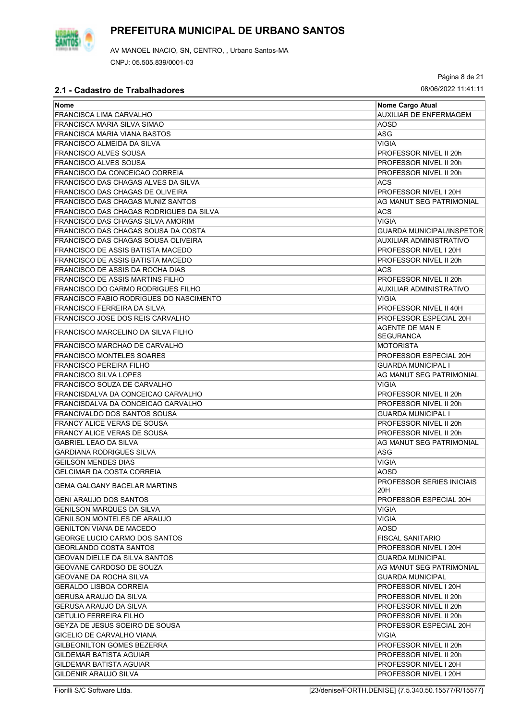

Página 8 de 21

| Nome                                           | Nome Cargo Atual                        |
|------------------------------------------------|-----------------------------------------|
| <b>FRANCISCA LIMA CARVALHO</b>                 | <b>AUXILIAR DE ENFERMAGEM</b>           |
| FRANCISCA MARIA SILVA SIMAO                    | AOSD                                    |
| FRANCISCA MARIA VIANA BASTOS                   | <b>ASG</b>                              |
| FRANCISCO ALMEIDA DA SILVA                     | VIGIA                                   |
| FRANCISCO ALVES SOUSA                          | PROFESSOR NIVEL II 20h                  |
| FRANCISCO ALVES SOUSA                          | PROFESSOR NIVEL II 20h                  |
| FRANCISCO DA CONCEICAO CORREIA                 | PROFESSOR NIVEL II 20h                  |
| FRANCISCO DAS CHAGAS ALVES DA SILVA            | <b>ACS</b>                              |
| <b>FRANCISCO DAS CHAGAS DE OLIVEIRA</b>        | PROFESSOR NIVEL I 20H                   |
| <b>FRANCISCO DAS CHAGAS MUNIZ SANTOS</b>       | AG MANUT SEG PATRIMONIAL                |
| <b>FRANCISCO DAS CHAGAS RODRIGUES DA SILVA</b> | ACS                                     |
| <b>FRANCISCO DAS CHAGAS SILVA AMORIM</b>       | <b>VIGIA</b>                            |
| FRANCISCO DAS CHAGAS SOUSA DA COSTA            | <b>GUARDA MUNICIPAL/INSPETOR</b>        |
| FRANCISCO DAS CHAGAS SOUSA OLIVEIRA            | AUXILIAR ADMINISTRATIVO                 |
| <b>FRANCISCO DE ASSIS BATISTA MACEDO</b>       | PROFESSOR NIVEL I 20H                   |
| FRANCISCO DE ASSIS BATISTA MACEDO              | PROFESSOR NIVEL II 20h                  |
| FRANCISCO DE ASSIS DA ROCHA DIAS               | <b>ACS</b>                              |
| FRANCISCO DE ASSIS MARTINS FILHO               | PROFESSOR NIVEL II 20h                  |
| <b>FRANCISCO DO CARMO RODRIGUES FILHO</b>      | <b>AUXILIAR ADMINISTRATIVO</b>          |
| FRANCISCO FABIO RODRIGUES DO NASCIMENTO        | <b>VIGIA</b>                            |
| <b>FRANCISCO FERREIRA DA SILVA</b>             | PROFESSOR NIVEL II 40H                  |
| FRANCISCO JOSE DOS REIS CARVALHO               | PROFESSOR ESPECIAL 20H                  |
| FRANCISCO MARCELINO DA SILVA FILHO             | AGENTE DE MAN E<br><b>SEGURANCA</b>     |
| FRANCISCO MARCHAO DE CARVALHO                  | <b>MOTORISTA</b>                        |
| <b>FRANCISCO MONTELES SOARES</b>               | PROFESSOR ESPECIAL 20H                  |
| <b>FRANCISCO PEREIRA FILHO</b>                 | <b>GUARDA MUNICIPAL I</b>               |
| <b>FRANCISCO SILVA LOPES</b>                   | AG MANUT SEG PATRIMONIAL                |
| FRANCISCO SOUZA DE CARVALHO                    | VIGIA                                   |
| FRANCISDALVA DA CONCEICAO CARVALHO             | PROFESSOR NIVEL II 20h                  |
| FRANCISDALVA DA CONCEICAO CARVALHO             | PROFESSOR NIVEL II 20h                  |
| FRANCIVALDO DOS SANTOS SOUSA                   | <b>GUARDA MUNICIPAL I</b>               |
| <b>FRANCY ALICE VERAS DE SOUSA</b>             | <b>PROFESSOR NIVEL II 20h</b>           |
| <b>FRANCY ALICE VERAS DE SOUSA</b>             | PROFESSOR NIVEL II 20h                  |
| <b>GABRIEL LEAO DA SILVA</b>                   | AG MANUT SEG PATRIMONIAL                |
| <b>GARDIANA RODRIGUES SILVA</b>                | ASG                                     |
| <b>GEILSON MENDES DIAS</b>                     | <b>VIGIA</b>                            |
| <b>GELCIMAR DA COSTA CORREIA</b>               | <b>AOSD</b>                             |
| <b>GEMA GALGANY BACELAR MARTINS</b>            | <b>PROFESSOR SERIES INICIAIS</b><br>20H |
| IGENI ARAUJO DOS SANTOS                        | PROFESSOR ESPECIAL 20H                  |
| GENILSON MARQUES DA SILVA                      | <b>VIGIA</b>                            |
| <b>GENILSON MONTELES DE ARAUJO</b>             | VIGIA                                   |
| <b>GENILTON VIANA DE MACEDO</b>                | AOSD                                    |
| <b>GEORGE LUCIO CARMO DOS SANTOS</b>           | <b>FISCAL SANITARIO</b>                 |
| <b>GEORLANDO COSTA SANTOS</b>                  | PROFESSOR NIVEL I 20H                   |
| <b>GEOVAN DIELLE DA SILVA SANTOS</b>           | <b>GUARDA MUNICIPAL</b>                 |
| <b>GEOVANE CARDOSO DE SOUZA</b>                | AG MANUT SEG PATRIMONIAL                |
| IGEOVANE DA ROCHA SILVA                        | <b>GUARDA MUNICIPAL</b>                 |
| <b>GERALDO LISBOA CORREIA</b>                  | PROFESSOR NIVEL I 20H                   |
| <b>GERUSA ARAUJO DA SILVA</b>                  | PROFESSOR NIVEL II 20h                  |
| <b>GERUSA ARAUJO DA SILVA</b>                  | PROFESSOR NIVEL II 20h                  |
| <b>GETULIO FERREIRA FILHO</b>                  | PROFESSOR NIVEL II 20h                  |
| GEYZA DE JESUS SOEIRO DE SOUSA                 | PROFESSOR ESPECIAL 20H                  |
| <b>GICELIO DE CARVALHO VIANA</b>               | <b>VIGIA</b>                            |
| <b>GILBEONILTON GOMES BEZERRA</b>              | PROFESSOR NIVEL II 20h                  |
| GILDEMAR BATISTA AGUIAR                        | PROFESSOR NIVEL II 20h                  |
| GILDEMAR BATISTA AGUIAR                        | PROFESSOR NIVEL I 20H                   |
| GILDENIR ARAUJO SILVA                          | PROFESSOR NIVEL I 20H                   |

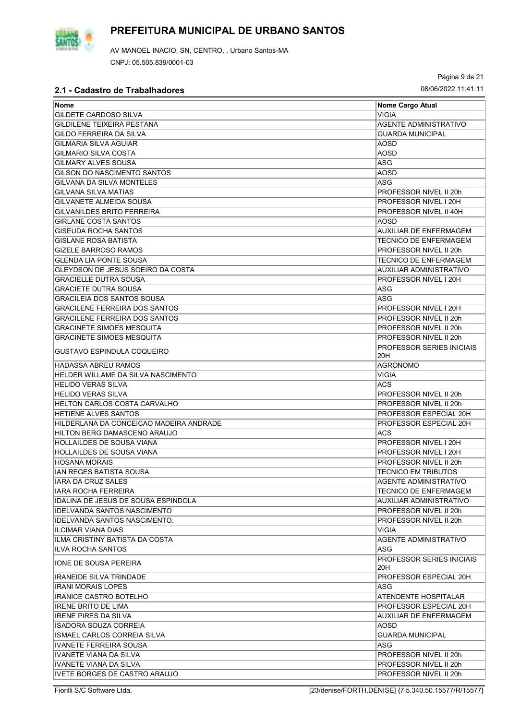

Página 9 de 21

| <b>Nome</b>                              | Nome Cargo Atual                        |
|------------------------------------------|-----------------------------------------|
| GILDETE CARDOSO SILVA                    | <b>VIGIA</b>                            |
| GILDILENE TEIXEIRA PESTANA               | <b>AGENTE ADMINISTRATIVO</b>            |
| GILDO FERREIRA DA SILVA                  | <b>GUARDA MUNICIPAL</b>                 |
| <b>GILMARIA SILVA AGUIAR</b>             | <b>AOSD</b>                             |
| <b>GILMARIO SILVA COSTA</b>              | <b>AOSD</b>                             |
| <b>GILMARY ALVES SOUSA</b>               | <b>ASG</b>                              |
|                                          |                                         |
| GILSON DO NASCIMENTO SANTOS              | <b>AOSD</b>                             |
| <b>GILVANA DA SILVA MONTELES</b>         | ASG                                     |
| GILVANA SILVA MATIAS                     | PROFESSOR NIVEL II 20h                  |
| GILVANETE ALMEIDA SOUSA                  | PROFESSOR NIVEL I 20H                   |
| GILVANILDES BRITO FERREIRA               | PROFESSOR NIVEL II 40H                  |
| <b>GIRLANE COSTA SANTOS</b>              | AOSD                                    |
| GISEUDA ROCHA SANTOS                     | AUXILIAR DE ENFERMAGEM                  |
| <b>GISLANE ROSA BATISTA</b>              | <b>TECNICO DE ENFERMAGEM</b>            |
| <b>GIZELE BARROSO RAMOS</b>              | PROFESSOR NIVEL II 20h                  |
| <b>GLENDA LIA PONTE SOUSA</b>            | <b>TECNICO DE ENFERMAGEM</b>            |
| <b>GLEYDSON DE JESUS SOEIRO DA COSTA</b> | AUXILIAR ADMINISTRATIVO                 |
| <b>GRACIELLE DUTRA SOUSA</b>             | PROFESSOR NIVEL I 20H                   |
| <b>GRACIETE DUTRA SOUSA</b>              | ASG                                     |
| <b>GRACILEIA DOS SANTOS SOUSA</b>        | ASG                                     |
| <b>GRACILENE FERREIRA DOS SANTOS</b>     | PROFESSOR NIVEL I 20H                   |
| <b>GRACILENE FERREIRA DOS SANTOS</b>     | PROFESSOR NIVEL II 20h                  |
| <b>GRACINETE SIMOES MESQUITA</b>         | PROFESSOR NIVEL II 20h                  |
| GRACINETE SIMOES MESQUITA                | PROFESSOR NIVEL II 20h                  |
| GUSTAVO ESPINDULA COQUEIRO               | <b>PROFESSOR SERIES INICIAIS</b>        |
| <b>HADASSA ABREU RAMOS</b>               | 20H<br><b>AGRONOMO</b>                  |
| HELDER WILLAME DA SILVA NASCIMENTO       | <b>VIGIA</b>                            |
| <b>HELIDO VERAS SILVA</b>                | <b>ACS</b>                              |
| <b>HELIDO VERAS SILVA</b>                | PROFESSOR NIVEL II 20h                  |
| HELTON CARLOS COSTA CARVALHO             | PROFESSOR NIVEL II 20h                  |
| <b>HETIENE ALVES SANTOS</b>              | PROFESSOR ESPECIAL 20H                  |
| HILDERLANA DA CONCEICAO MADEIRA ANDRADE  | PROFESSOR ESPECIAL 20H                  |
| <b>HILTON BERG DAMASCENO ARAUJO</b>      | ACS                                     |
| <b>HOLLAILDES DE SOUSA VIANA</b>         | PROFESSOR NIVEL I 20H                   |
| <b>HOLLAILDES DE SOUSA VIANA</b>         |                                         |
|                                          | PROFESSOR NIVEL I 20H                   |
| <b>HOSANA MORAIS</b>                     | PROFESSOR NIVEL II 20h                  |
| IAN REGES BATISTA SOUSA                  | <b>TECNICO EM TRIBUTOS</b>              |
| IARA DA CRUZ SALES                       | AGENTE ADMINISTRATIVO                   |
| IARA ROCHA FERREIRA                      | TECNICO DE ENFERMAGEM                   |
| IDALINA DE JESUS DE SOUSA ESPINDOLA      | AUXILIAR ADMINISTRATIVO                 |
| <b>IDELVANDA SANTOS NASCIMENTO</b>       | PROFESSOR NIVEL II 20h                  |
| IDELVANDA SANTOS NASCIMENTO.             | PROFESSOR NIVEL II 20h                  |
| <b>ILCIMAR VIANA DIAS</b>                | VIGIA                                   |
| ILMA CRISTINY BATISTA DA COSTA           | <b>AGENTE ADMINISTRATIVO</b>            |
| <b>ILVA ROCHA SANTOS</b>                 | ASG                                     |
| IONE DE SOUSA PEREIRA                    | <b>PROFESSOR SERIES INICIAIS</b><br>20H |
| <b>IRANEIDE SILVA TRINDADE</b>           | PROFESSOR ESPECIAL 20H                  |
| <b>IRANI MORAIS LOPES</b>                | ASG                                     |
| IRANICE CASTRO BOTELHO                   | ATENDENTE HOSPITALAR                    |
| <b>IRENE BRITO DE LIMA</b>               | PROFESSOR ESPECIAL 20H                  |
| <b>IRENE PIRES DA SILVA</b>              | AUXILIAR DE ENFERMAGEM                  |
|                                          |                                         |
| ISADORA SOUZA CORREIA                    | AOSD                                    |
| ISMAEL CARLOS CORREIA SILVA              | <b>GUARDA MUNICIPAL</b>                 |
| <b>IVANETE FERREIRA SOUSA</b>            | ASG                                     |
| <b>IVANETE VIANA DA SILVA</b>            | PROFESSOR NIVEL II 20h                  |
| IVANETE VIANA DA SILVA                   | PROFESSOR NIVEL II 20h                  |
| <b>IVETE BORGES DE CASTRO ARAUJO</b>     | PROFESSOR NIVEL II 20h                  |

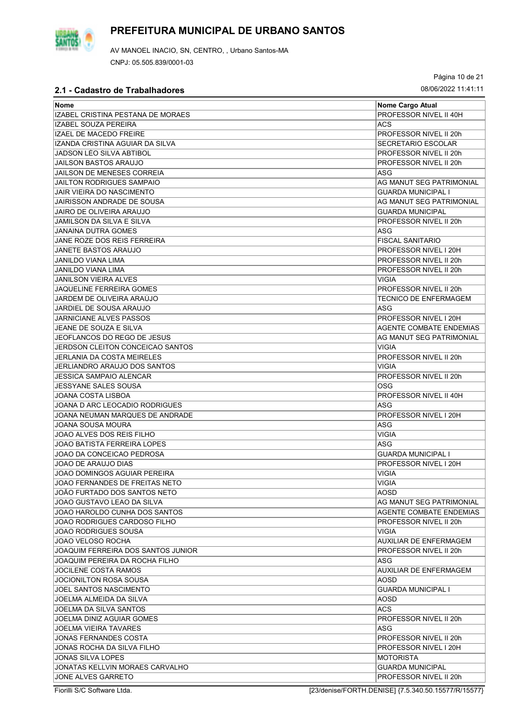AV MANOEL INACIO, SN, CENTRO, , Urbano Santos-MA CNPJ: 05.505.839/0001-03

Página 10 de 21

| <b>Nome</b>                        | Nome Cargo Atual               |
|------------------------------------|--------------------------------|
| IZABEL CRISTINA PESTANA DE MORAES  | PROFESSOR NIVEL II 40H         |
| IZABEL SOUZA PEREIRA               | <b>ACS</b>                     |
| <b>IZAEL DE MACEDO FREIRE</b>      | PROFESSOR NIVEL II 20h         |
| IZANDA CRISTINA AGUIAR DA SILVA    | <b>SECRETARIO ESCOLAR</b>      |
| JADSON LÉO SILVA ABTIBOL           | PROFESSOR NIVEL II 20h         |
| <b>JAILSON BASTOS ARAUJO</b>       | PROFESSOR NIVEL II 20h         |
| JAILSON DE MENESES CORREIA         | ASG                            |
| JAILTON RODRIGUES SAMPAIO          | AG MANUT SEG PATRIMONIAL       |
| JAIR VIEIRA DO NASCIMENTO          | <b>GUARDA MUNICIPAL I</b>      |
| JAIRISSON ANDRADE DE SOUSA         | AG MANUT SEG PATRIMONIAL       |
| JAIRO DE OLIVEIRA ARAUJO           | <b>GUARDA MUNICIPAL</b>        |
| JAMILSON DA SILVA E SILVA          | PROFESSOR NIVEL II 20h         |
| JANAINA DUTRA GOMES                | ASG                            |
| JANE ROZE DOS REIS FERREIRA        | <b>FISCAL SANITARIO</b>        |
| JANETE BASTOS ARAUJO               | PROFESSOR NIVEL I 20H          |
| JANILDO VIANA LIMA                 | PROFESSOR NIVEL II 20h         |
| JANILDO VIANA LIMA                 | PROFESSOR NIVEL II 20h         |
| <b>JANILSON VIEIRA ALVES</b>       | <b>VIGIA</b>                   |
| <b>JAQUELINE FERREIRA GOMES</b>    | PROFESSOR NIVEL II 20h         |
|                                    |                                |
| JARDEM DE OLIVEIRA ARAÚJO          | <b>TECNICO DE ENFERMAGEM</b>   |
| JARDIEL DE SOUSA ARAUJO            | ASG                            |
| <b>JARNICIANE ALVES PASSOS</b>     | PROFESSOR NIVEL I 20H          |
| JEANE DE SOUZA E SILVA             | <b>AGENTE COMBATE ENDEMIAS</b> |
| JEOFLANCOS DO REGO DE JESUS        | AG MANUT SEG PATRIMONIAL       |
| JERDSON CLEITON CONCEICAO SANTOS   | <b>VIGIA</b>                   |
| <b>JERLANIA DA COSTA MEIRELES</b>  | PROFESSOR NIVEL II 20h         |
| JERLIANDRO ARAUJO DOS SANTOS       | <b>VIGIA</b>                   |
| JESSICA SAMPAIO ALENCAR            | PROFESSOR NIVEL II 20h         |
| JESSYANE SALES SOUSA               | OSG                            |
| JOANA COSTA LISBOA                 | PROFESSOR NIVEL II 40H         |
| JOANA D ARC LEOCADIO RODRIGUES     | <b>ASG</b>                     |
| JOANA NEUMAN MARQUES DE ANDRADE    | PROFESSOR NIVEL I 20H          |
| JOANA SOUSA MOURA                  | ASG                            |
| JOAO ALVES DOS REIS FILHO          | <b>VIGIA</b>                   |
| JOAO BATISTA FERREIRA LOPES        | ASG                            |
| JOAO DA CONCEICAO PEDROSA          | <b>GUARDA MUNICIPAL I</b>      |
| JOAO DE ARAUJO DIAS                | PROFESSOR NIVEL I 20H          |
| JOAO DOMINGOS AGUIAR PEREIRA       | <b>VIGIA</b>                   |
| JOAO FERNANDES DE FREITAS NETO     | <b>VIGIA</b>                   |
| JOÃO FURTADO DOS SANTOS NETO       | AOSD                           |
| JOAO GUSTAVO LEAO DA SILVA         | AG MANUT SEG PATRIMONIAL       |
| JOAO HAROLDO CUNHA DOS SANTOS      | <b>AGENTE COMBATE ENDEMIAS</b> |
| JOAO RODRIGUES CARDOSO FILHO       | PROFESSOR NIVEL II 20h         |
| JOAO RODRIGUES SOUSA               | VIGIA                          |
| JOAO VELOSO ROCHA                  | <b>AUXILIAR DE ENFERMAGEM</b>  |
| JOAQUIM FERREIRA DOS SANTOS JUNIOR | PROFESSOR NIVEL II 20h         |
| JOAQUIM PEREIRA DA ROCHA FILHO     | ASG                            |
| <b>JOCILENE COSTA RAMOS</b>        | <b>AUXILIAR DE ENFERMAGEM</b>  |
| JOCIONILTON ROSA SOUSA             | AOSD                           |
| <b>JOEL SANTOS NASCIMENTO</b>      | <b>GUARDA MUNICIPAL I</b>      |
| JOELMA ALMEIDA DA SILVA            | AOSD                           |
| JOELMA DA SILVA SANTOS             | ACS.                           |
| JOELMA DINIZ AGUIAR GOMES          | PROFESSOR NIVEL II 20h         |
| JOELMA VIEIRA TAVARES              | ASG                            |
| JONAS FERNANDES COSTA              | PROFESSOR NIVEL II 20h         |
| JONAS ROCHA DA SILVA FILHO         | PROFESSOR NIVEL I 20H          |
| <b>JONAS SILVA LOPES</b>           | <b>MOTORISTA</b>               |
|                                    |                                |
| JONATAS KELLVIN MORAES CARVALHO    | <b>GUARDA MUNICIPAL</b>        |
| JONE ALVES GARRETO                 | PROFESSOR NIVEL II 20h         |

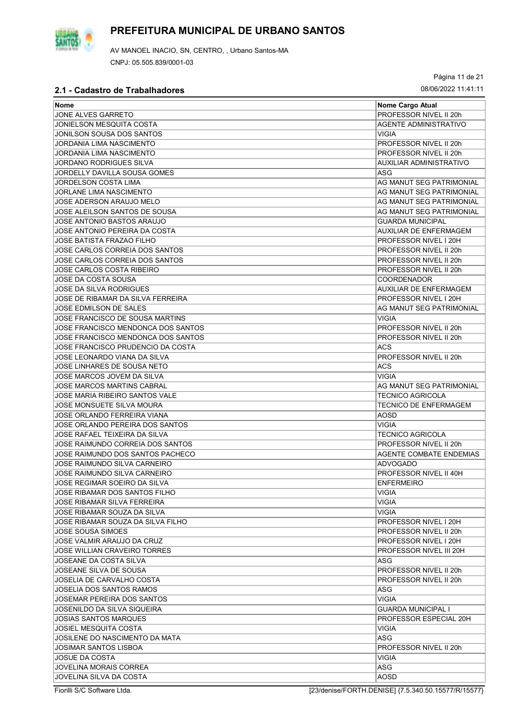

Página 11 de 21

| Nome                                | Nome Cargo Atual               |
|-------------------------------------|--------------------------------|
| JONE ALVES GARRETO                  | PROFESSOR NIVEL II 20h         |
| <b>JONIELSON MESQUITA COSTA</b>     | <b>AGENTE ADMINISTRATIVO</b>   |
| JONILSON SOUSA DOS SANTOS           | VIGIA                          |
| JORDANIA LIMA NASCIMENTO            | PROFESSOR NIVEL II 20h         |
| <b>JORDANIA LIMA NASCIMENTO</b>     | PROFESSOR NIVEL II 20h         |
| JORDANO RODRIGUES SILVA             | <b>AUXILIAR ADMINISTRATIVO</b> |
| <b>JORDELLY DAVILLA SOUSA GOMES</b> | ASG                            |
| JORDELSON COSTA LIMA                | AG MANUT SEG PATRIMONIAL       |
| <b>JORLANE LIMA NASCIMENTO</b>      | AG MANUT SEG PATRIMONIAL       |
| JOSE ADERSON ARAUJO MELO            | AG MANUT SEG PATRIMONIAL       |
| JOSE ALEILSON SANTOS DE SOUSA       |                                |
|                                     | AG MANUT SEG PATRIMONIAL       |
| JOSE ANTONIO BASTOS ARAUJO          | <b>GUARDA MUNICIPAL</b>        |
| JOSE ANTONIO PEREIRA DA COSTA       | AUXILIAR DE ENFERMAGEM         |
| <b>JOSE BATISTA FRAZAO FILHO</b>    | PROFESSOR NIVEL I 20H          |
| JOSE CARLOS CORREIA DOS SANTOS      | PROFESSOR NIVEL II 20h         |
| JOSE CARLOS CORREIA DOS SANTOS      | PROFESSOR NIVEL II 20h         |
| <b>JOSE CARLOS COSTA RIBEIRO</b>    | PROFESSOR NIVEL II 20h         |
| JOSE DA COSTA SOUSA                 | <b>COORDENADOR</b>             |
| <b>JOSE DA SILVA RODRIGUES</b>      | AUXILIAR DE ENFERMAGEM         |
| JOSE DE RIBAMAR DA SILVA FERREIRA   | PROFESSOR NIVEL I 20H          |
| <b>JOSE EDMILSON DE SALES</b>       | AG MANUT SEG PATRIMONIAL       |
| JOSE FRANCISCO DE SOUSA MARTINS     | <b>VIGIA</b>                   |
| JOSE FRANCISCO MENDONCA DOS SANTOS  | PROFESSOR NIVEL II 20h         |
| JOSE FRANCISCO MENDONCA DOS SANTOS  | PROFESSOR NIVEL II 20h         |
| JOSE FRANCISCO PRUDENCIO DA COSTA   | ACS                            |
| JOSE LEONARDO VIANA DA SILVA        | PROFESSOR NIVEL II 20h         |
| JOSE LINHARES DE SOUSA NETO         | ACS                            |
| JOSE MARCOS JOVEM DA SILVA          | VIGIA                          |
| JOSE MARCOS MARTINS CABRAL          | AG MANUT SEG PATRIMONIAL       |
| JOSE MARIA RIBEIRO SANTOS VALE      | <b>TECNICO AGRICOLA</b>        |
| JOSE MONSUETE SILVA MOURA           | <b>TECNICO DE ENFERMAGEM</b>   |
| <b>JOSE ORLANDO FERREIRA VIANA</b>  | <b>AOSD</b>                    |
| JOSE ORLANDO PEREIRA DOS SANTOS     | VIGIA                          |
| JOSE RAFAEL TEIXEIRA DA SILVA       | <b>TECNICO AGRICOLA</b>        |
|                                     | PROFESSOR NIVEL II 20h         |
| JOSE RAIMUNDO CORREIA DOS SANTOS    |                                |
| JOSE RAIMUNDO DOS SANTOS PACHECO    | <b>AGENTE COMBATE ENDEMIAS</b> |
| JOSE RAIMUNDO SILVA CARNEIRO        | <b>ADVOGADO</b>                |
| JOSE RAIMUNDO SILVA CARNEIRO        | PROFESSOR NIVEL II 40H         |
| JOSE REGIMAR SOEIRO DA SILVA        | <b>ENFERMEIRO</b>              |
| JOSE RIBAMAR DOS SANTOS FILHO       | VIGIA                          |
| JOSE RIBAMAR SILVA FERREIRA         | <b>VIGIA</b>                   |
| JOSE RIBAMAR SOUZA DA SILVA         | VIGIA                          |
| JOSE RIBAMAR SOUZA DA SILVA FILHO   | PROFESSOR NIVEL I 20H          |
| <b>JOSE SOUSA SIMOES</b>            | PROFESSOR NIVEL II 20h         |
| JOSE VALMIR ARAUJO DA CRUZ          | PROFESSOR NIVEL I 20H          |
| <b>JOSE WILLIAN CRAVEIRO TORRES</b> | PROFESSOR NIVEL III 20H        |
| JOSEANE DA COSTA SILVA              | ASG                            |
| JOSEANE SILVA DE SOUSA              | PROFESSOR NIVEL II 20h         |
| JOSELIA DE CARVALHO COSTA           | PROFESSOR NIVEL II 20h         |
| <b>JOSELIA DOS SANTOS RAMOS</b>     | ASG                            |
| JOSEMAR PEREIRA DOS SANTOS          | VIGIA                          |
| JOSENILDO DA SILVA SIQUEIRA         | <b>GUARDA MUNICIPAL I</b>      |
| <b>JOSIAS SANTOS MARQUES</b>        | PROFESSOR ESPECIAL 20H         |
| <b>JOSIEL MESQUITA COSTA</b>        | VIGIA                          |
| JOSILENE DO NASCIMENTO DA MATA      | ASG                            |
| JOSIMAR SANTOS LISBOA               | PROFESSOR NIVEL II 20h         |
|                                     | <b>VIGIA</b>                   |
| <b>JOSUE DA COSTA</b>               |                                |
| JOVELINA MORAIS CORREA              | ASG                            |
| JOVELINA SILVA DA COSTA             | <b>AOSD</b>                    |

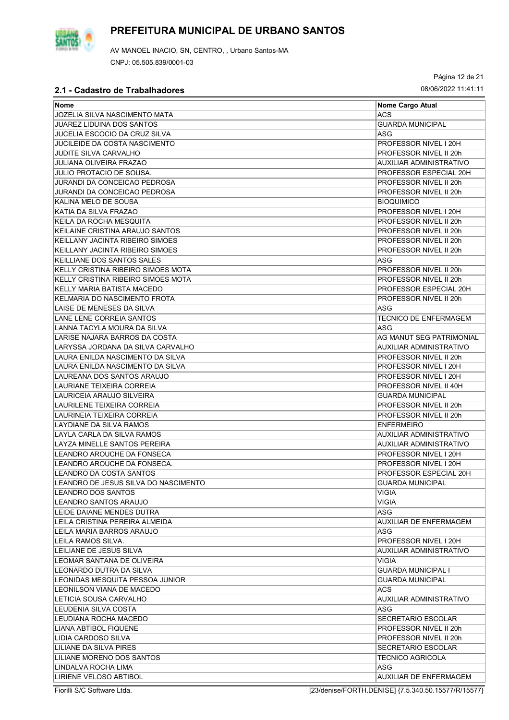

Página 12 de 21

### **2.1 - Cadastro de Trabalhadores** 08/06/2022 11:41:11

| Nome                                 | Nome Cargo Atual                |
|--------------------------------------|---------------------------------|
| JOZELIA SILVA NASCIMENTO MATA        | <b>ACS</b>                      |
| <b>JUAREZ LIDUINA DOS SANTOS</b>     | <b>GUARDA MUNICIPAL</b>         |
| <b>JUCELIA ESCOCIO DA CRUZ SILVA</b> | ASG                             |
| JUCILEIDE DA COSTA NASCIMENTO        | PROFESSOR NIVEL I 20H           |
| <b>JUDITE SILVA CARVALHO</b>         | PROFESSOR NIVEL II 20h          |
| <b>JULIANA OLIVEIRA FRAZAO</b>       | AUXILIAR ADMINISTRATIVO         |
| <b>JULIO PROTACIO DE SOUSA.</b>      | PROFESSOR ESPECIAL 20H          |
| <b>JURANDI DA CONCEICAO PEDROSA</b>  | PROFESSOR NIVEL II 20h          |
| JURANDI DA CONCEICAO PEDROSA         | PROFESSOR NIVEL II 20h          |
| KALINA MELO DE SOUSA                 | <b>BIOQUIMICO</b>               |
| KATIA DA SILVA FRAZAO                | PROFESSOR NIVEL I 20H           |
| KEILA DA ROCHA MESQUITA              | PROFESSOR NIVEL II 20h          |
| KEILAINE CRISTINA ARAUJO SANTOS      | PROFESSOR NIVEL II 20h          |
| KEILLANY JACINTA RIBEIRO SIMOES      | PROFESSOR NIVEL II 20h          |
| KEILLANY JACINTA RIBEIRO SIMOES      | PROFESSOR NIVEL II 20h          |
| KEILLIANE DOS SANTOS SALES           | ASG                             |
| KELLY CRISTINA RIBEIRO SIMOES MOTA   | PROFESSOR NIVEL II 20h          |
| KELLY CRISTINA RIBEIRO SIMOES MOTA   | PROFESSOR NIVEL II 20h          |
| KELLY MARIA BATISTA MACEDO           | PROFESSOR ESPECIAL 20H          |
| KELMARIA DO NASCIMENTO FROTA         | PROFESSOR NIVEL II 20h          |
| LAISE DE MENESES DA SILVA            | ASG                             |
|                                      |                                 |
| LANE LENE CORREIA SANTOS             | TECNICO DE ENFERMAGEM           |
| LANNA TACYLA MOURA DA SILVA          | ASG<br>AG MANUT SEG PATRIMONIAL |
| LARISE NAJARA BARROS DA COSTA        |                                 |
| LARYSSA JORDANA DA SILVA CARVALHO    | <b>AUXILIAR ADMINISTRATIVO</b>  |
| LAURA ENILDA NASCIMENTO DA SILVA     | PROFESSOR NIVEL II 20h          |
| LAURA ENILDA NASCIMENTO DA SILVA     | PROFESSOR NIVEL I 20H           |
| LAUREANA DOS SANTOS ARAUJO           | PROFESSOR NIVEL I 20H           |
| LAURIANE TEIXEIRA CORREIA            | PROFESSOR NIVEL II 40H          |
| LAURICEIA ARAUJO SILVEIRA            | <b>GUARDA MUNICIPAL</b>         |
| LAURILENE TEIXEIRA CORREIA           | PROFESSOR NIVEL II 20h          |
| LAURINEIA TEIXEIRA CORREIA           | PROFESSOR NIVEL II 20h          |
| LAYDIANE DA SILVA RAMOS              | <b>ENFERMEIRO</b>               |
| LAYLA CARLA DA SILVA RAMOS           | AUXILIAR ADMINISTRATIVO         |
| LAYZA MINELLE SANTOS PEREIRA         | <b>AUXILIAR ADMINISTRATIVO</b>  |
| ILEANDRO AROUCHE DA FONSECA          | PROFESSOR NIVEL I 20H           |
| LEANDRO AROUCHE DA FONSECA.          | PROFESSOR NIVEL I 20H           |
| LEANDRO DA COSTA SANTOS              | PROFESSOR ESPECIAL 20H          |
| LEANDRO DE JESUS SILVA DO NASCIMENTO | <b>GUARDA MUNICIPAL</b>         |
| ILEANDRO DOS SANTOS                  | VIGIA                           |
| LEANDRO SANTOS ARAUJO                | VIGIA                           |
| LEIDE DAIANE MENDES DUTRA            | ASG                             |
| LEILA CRISTINA PEREIRA ALMEIDA       | <b>AUXILIAR DE ENFERMAGEM</b>   |
| ILEILA MARIA BARROS ARAUJO           | ASG                             |
| ILEILA RAMOS SILVA.                  | PROFESSOR NIVEL I 20H           |
| ILEILIANE DE JESUS SILVA             | AUXILIAR ADMINISTRATIVO         |
| LEOMAR SANTANA DE OLIVEIRA           | VIGIA                           |
| LEONARDO DUTRA DA SILVA              | <b>GUARDA MUNICIPAL I</b>       |
| ILEONIDAS MESQUITA PESSOA JUNIOR     | <b>GUARDA MUNICIPAL</b>         |
| LEONILSON VIANA DE MACEDO            | ACS.                            |
| ILETICIA SOUSA CARVALHO              | AUXILIAR ADMINISTRATIVO         |
| ILEUDENIA SILVA COSTA                | ASG                             |
| LEUDIANA ROCHA MACEDO                | SECRETARIO ESCOLAR              |
| LIANA ABTIBOL FIQUENE                | PROFESSOR NIVEL II 20h          |
| LIDIA CARDOSO SILVA                  | PROFESSOR NIVEL II 20h          |
| LILIANE DA SILVA PIRES               | <b>SECRETARIO ESCOLAR</b>       |
| LILIANE MORENO DOS SANTOS            | <b>TECNICO AGRICOLA</b>         |
| LINDALVA ROCHA LIMA                  | ASG                             |
| LIRIENE VELOSO ABTIBOL               | AUXILIAR DE ENFERMAGEM          |

Fiorilli S/C Software Ltda. [23/denise/FORTH.DENISE] {7.5.340.50.15577/R/15577}

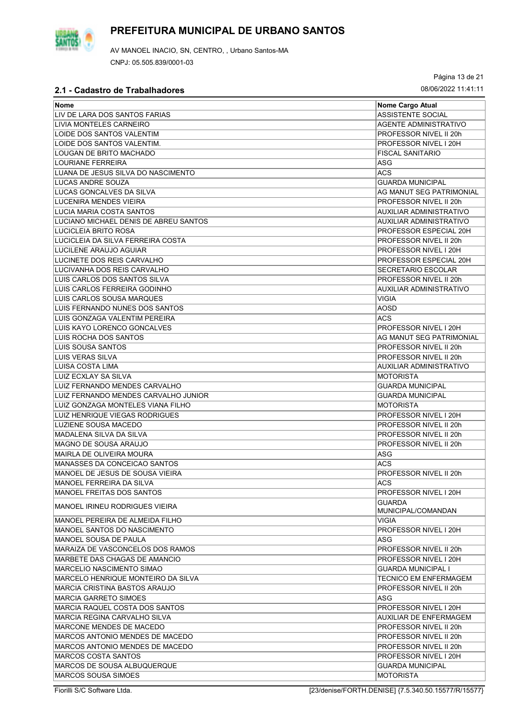

Página 13 de 21

| Nome                                  | Nome Cargo Atual                    |
|---------------------------------------|-------------------------------------|
| LIV DE LARA DOS SANTOS FARIAS         | <b>ASSISTENTE SOCIAL</b>            |
| LIVIA MONTELES CARNEIRO               | <b>AGENTE ADMINISTRATIVO</b>        |
| LOIDE DOS SANTOS VALENTIM             | PROFESSOR NIVEL II 20h              |
| LOIDE DOS SANTOS VALENTIM.            | PROFESSOR NIVEL I 20H               |
| LOUGAN DE BRITO MACHADO               | <b>FISCAL SANITARIO</b>             |
| LOURIANE FERREIRA                     | ASG                                 |
| LUANA DE JESUS SILVA DO NASCIMENTO    | <b>ACS</b>                          |
| LUCAS ANDRE SOUZA                     | <b>GUARDA MUNICIPAL</b>             |
| LUCAS GONCALVES DA SILVA              | AG MANUT SEG PATRIMONIAL            |
| LUCENIRA MENDES VIEIRA                | PROFESSOR NIVEL II 20h              |
| LUCIA MARIA COSTA SANTOS              | AUXILIAR ADMINISTRATIVO             |
| LUCIANO MICHAEL DENIS DE ABREU SANTOS | <b>AUXILIAR ADMINISTRATIVO</b>      |
| LUCICLEIA BRITO ROSA                  | PROFESSOR ESPECIAL 20H              |
| LUCICLEIA DA SILVA FERREIRA COSTA     | PROFESSOR NIVEL II 20h              |
| LUCILENE ARAUJO AGUIAR                | PROFESSOR NIVEL I 20H               |
| LUCINETE DOS REIS CARVALHO            | PROFESSOR ESPECIAL 20H              |
| LUCIVANHA DOS REIS CARVALHO           | <b>SECRETARIO ESCOLAR</b>           |
| LUIS CARLOS DOS SANTOS SILVA          | PROFESSOR NIVEL II 20h              |
| LUIS CARLOS FERREIRA GODINHO          | <b>AUXILIAR ADMINISTRATIVO</b>      |
| LUIS CARLOS SOUSA MARQUES             | VIGIA                               |
| LUIS FERNANDO NUNES DOS SANTOS        | <b>AOSD</b>                         |
| LUIS GONZAGA VALENTIM PEREIRA         | <b>ACS</b>                          |
| LUIS KAYO LORENCO GONCALVES           | PROFESSOR NIVEL I 20H               |
| LUIS ROCHA DOS SANTOS                 | AG MANUT SEG PATRIMONIAL            |
| LUIS SOUSA SANTOS                     | PROFESSOR NIVEL II 20h              |
| <b>LUIS VERAS SILVA</b>               | PROFESSOR NIVEL II 20h              |
| LUISA COSTA LIMA                      | AUXILIAR ADMINISTRATIVO             |
| LUIZ ECXLAY SA SILVA                  | <b>MOTORISTA</b>                    |
| LUIZ FERNANDO MENDES CARVALHO         | <b>GUARDA MUNICIPAL</b>             |
| LUIZ FERNANDO MENDES CARVALHO JUNIOR  | <b>GUARDA MUNICIPAL</b>             |
| LUIZ GONZAGA MONTELES VIANA FILHO     | <b>MOTORISTA</b>                    |
| <b>LUIZ HENRIQUE VIEGAS RODRIGUES</b> | PROFESSOR NIVEL I 20H               |
| LUZIENE SOUSA MACEDO                  | PROFESSOR NIVEL II 20h              |
| MADALENA SILVA DA SILVA               | PROFESSOR NIVEL II 20h              |
| MAGNO DE SOUSA ARAUJO                 | PROFESSOR NIVEL II 20h              |
| <b>MAIRLA DE OLIVEIRA MOURA</b>       | ASG                                 |
| MANASSES DA CONCEICAO SANTOS          | <b>ACS</b>                          |
| MANOEL DE JESUS DE SOUSA VIEIRA       | PROFESSOR NIVEL II 20h              |
| MANOEL FERREIRA DA SILVA              | <b>ACS</b>                          |
| MANOEL FREITAS DOS SANTOS             |                                     |
|                                       | PROFESSOR NIVEL I 20H               |
| <b>MANOEL IRINEU RODRIGUES VIEIRA</b> | <b>GUARDA</b><br>MUNICIPAL/COMANDAN |
| MANOEL PEREIRA DE ALMEIDA FILHO       | <b>VIGIA</b>                        |
| MANOEL SANTOS DO NASCIMENTO           | PROFESSOR NIVEL I 20H               |
| MANOEL SOUSA DE PAULA                 | ASG                                 |
| MARAIZA DE VASCONCELOS DOS RAMOS      | PROFESSOR NIVEL II 20h              |
| MARBETE DAS CHAGAS DE AMANCIO         | PROFESSOR NIVEL I 20H               |
| <b>MARCELIO NASCIMENTO SIMAO</b>      | <b>GUARDA MUNICIPAL I</b>           |
| MARCELO HENRIQUE MONTEIRO DA SILVA    | TECNICO EM ENFERMAGEM               |
| <b>MARCIA CRISTINA BASTOS ARAUJO</b>  | PROFESSOR NIVEL II 20h              |
| <b>MARCIA GARRETO SIMOES</b>          | ASG                                 |
| MARCIA RAQUEL COSTA DOS SANTOS        | PROFESSOR NIVEL I 20H               |
| MARCIA REGINA CARVALHO SILVA          | AUXILIAR DE ENFERMAGEM              |
| MARCONE MENDES DE MACEDO              | PROFESSOR NIVEL II 20h              |
| MARCOS ANTONIO MENDES DE MACEDO       | PROFESSOR NIVEL II 20h              |
| MARCOS ANTONIO MENDES DE MACEDO       | PROFESSOR NIVEL II 20h              |
| <b>MARCOS COSTA SANTOS</b>            | PROFESSOR NIVEL I 20H               |
| MARCOS DE SOUSA ALBUQUERQUE           | <b>GUARDA MUNICIPAL</b>             |
| <b>MARCOS SOUSA SIMOES</b>            | <b>MOTORISTA</b>                    |
|                                       |                                     |

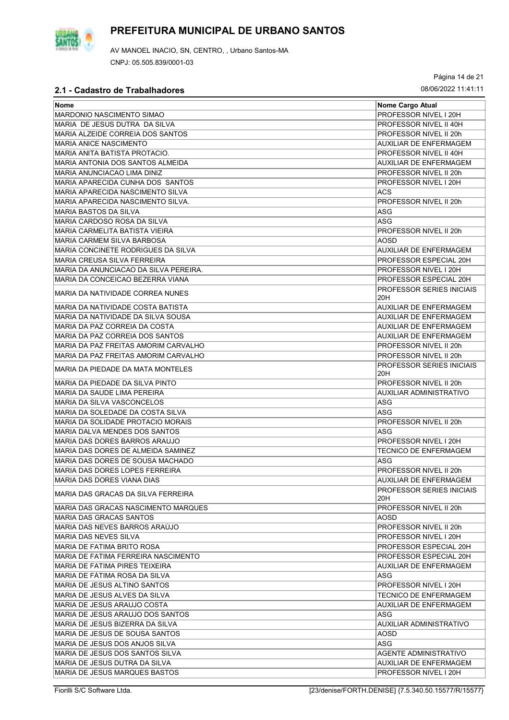

AV MANOEL INACIO, SN, CENTRO, , Urbano Santos-MA CNPJ: 05.505.839/0001-03

Página 14 de 21

| Nome                                  | Nome Cargo Atual                        |
|---------------------------------------|-----------------------------------------|
| MARDONIO NASCIMENTO SIMAO             | PROFESSOR NIVEL I 20H                   |
| MARIA DE JESUS DUTRA DA SILVA         | PROFESSOR NIVEL II 40H                  |
| MARIA ALZEIDE CORREIA DOS SANTOS      | PROFESSOR NIVEL II 20h                  |
| <b>MARIA ANICE NASCIMENTO</b>         | AUXILIAR DE ENFERMAGEM                  |
| MARIA ANITA BATISTA PROTACIO.         | PROFESSOR NIVEL II 40H                  |
| IMARIA ANTONIA DOS SANTOS ALMEIDA     | <b>AUXILIAR DE ENFERMAGEM</b>           |
| IMARIA ANUNCIACAO LIMA DINIZ          | PROFESSOR NIVEL II 20h                  |
| MARIA APARECIDA CUNHA DOS SANTOS      | PROFESSOR NIVEL I 20H                   |
| MARIA APARECIDA NASCIMENTO SILVA      | ACS                                     |
| MARIA APARECIDA NASCIMENTO SILVA.     | PROFESSOR NIVEL II 20h                  |
| MARIA BASTOS DA SILVA                 |                                         |
| MARIA CARDOSO ROSA DA SILVA           | ASG<br><b>ASG</b>                       |
|                                       |                                         |
| IMARIA CARMELITA BATISTA VIEIRA       | PROFESSOR NIVEL II 20h                  |
| MARIA CARMEM SILVA BARBOSA            | <b>AOSD</b>                             |
| MARIA CONCINETE RODRIGUES DA SILVA    | <b>AUXILIAR DE ENFERMAGEM</b>           |
| IMARIA CREUSA SILVA FERREIRA          | PROFESSOR ESPECIAL 20H                  |
| MARIA DA ANUNCIACAO DA SILVA PEREIRA. | PROFESSOR NIVEL I 20H                   |
| MARIA DA CONCEICAO BEZERRA VIANA      | PROFESSOR ESPECIAL 20H                  |
| MARIA DA NATIVIDADE CORREA NUNES      | <b>PROFESSOR SERIES INICIAIS</b><br>20H |
| MARIA DA NATIVIDADE COSTA BATISTA     | AUXILIAR DE ENFERMAGEM                  |
| IMARIA DA NATIVIDADE DA SILVA SOUSA   | AUXILIAR DE ENFERMAGEM                  |
| MARIA DA PAZ CORREIA DA COSTA         | <b>AUXILIAR DE ENFERMAGEM</b>           |
| MARIA DA PAZ CORREIA DOS SANTOS       | <b>AUXILIAR DE ENFERMAGEM</b>           |
| MARIA DA PAZ FREITAS AMORIM CARVALHO  | PROFESSOR NIVEL II 20h                  |
| MARIA DA PAZ FREITAS AMORIM CARVALHO  | PROFESSOR NIVEL II 20h                  |
| IMARIA DA PIEDADE DA MATA MONTELES    | <b>PROFESSOR SERIES INICIAIS</b><br>20H |
| MARIA DA PIEDADE DA SILVA PINTO       | PROFESSOR NIVEL II 20h                  |
| MARIA DA SAUDE LIMA PEREIRA           | <b>AUXILIAR ADMINISTRATIVO</b>          |
| MARIA DA SILVA VASCONCELOS            | ASG                                     |
| IMARIA DA SOLEDADE DA COSTA SILVA     | ASG                                     |
| IMARIA DA SOLIDADE PROTACIO MORAIS    | PROFESSOR NIVEL II 20h                  |
| MARIA DALVA MENDES DOS SANTOS         | <b>ASG</b>                              |
| MARIA DAS DORES BARROS ARAUJO         | PROFESSOR NIVEL I 20H                   |
| MARIA DAS DORES DE ALMEIDA SAMINEZ    | <b>TECNICO DE ENFERMAGEM</b>            |
| MARIA DAS DORES DE SOUSA MACHADO      | ASG                                     |
| MARIA DAS DORES LOPES FERREIRA        | PROFESSOR NIVEL II 20h                  |
| MARIA DAS DORES VIANA DIAS            | <b>AUXILIAR DE ENFERMAGEM</b>           |
| IMARIA DAS GRACAS DA SILVA FERREIRA   | PROFESSOR SERIES INICIAIS<br>20H        |
| IMARIA DAS GRACAS NASCIMENTO MARQUES  | PROFESSOR NIVEL II 20h                  |
| MARIA DAS GRACAS SANTOS               | AOSD                                    |
| IMARIA DAS NEVES BARROS ARAÚJO        | PROFESSOR NIVEL II 20h                  |
| MARIA DAS NEVES SILVA                 | PROFESSOR NIVEL I 20H                   |
| MARIA DE FATIMA BRITO ROSA            | PROFESSOR ESPECIAL 20H                  |
| IMARIA DE FATIMA FERREIRA NASCIMENTO  | PROFESSOR ESPECIAL 20H                  |
| MARIA DE FATIMA PIRES TEIXEIRA        | AUXILIAR DE ENFERMAGEM                  |
| IMARIA DE FÁTIMA ROSA DA SILVA        | ASG                                     |
| MARIA DE JESUS ALTINO SANTOS          | PROFESSOR NIVEL I 20H                   |
| IMARIA DE JESUS ALVES DA SILVA        | <b>TECNICO DE ENFERMAGEM</b>            |
| MARIA DE JESUS ARAUJO COSTA           | <b>AUXILIAR DE ENFERMAGEM</b>           |
| MARIA DE JESUS ARAUJO DOS SANTOS      | ASG                                     |
|                                       |                                         |
| MARIA DE JESUS BIZERRA DA SILVA       | AUXILIAR ADMINISTRATIVO                 |
| MARIA DE JESUS DE SOUSA SANTOS        | AOSD                                    |
| IMARIA DE JESUS DOS ANJOS SILVA       | ASG                                     |
| MARIA DE JESUS DOS SANTOS SILVA       | <b>AGENTE ADMINISTRATIVO</b>            |
| MARIA DE JESUS DUTRA DA SILVA         | AUXILIAR DE ENFERMAGEM                  |
| MARIA DE JESUS MARQUES BASTOS         | PROFESSOR NIVEL I 20H                   |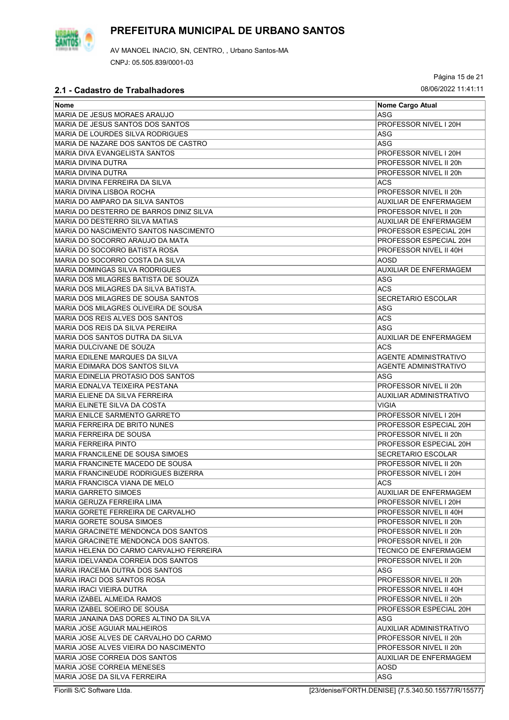

AV MANOEL INACIO, SN, CENTRO, , Urbano Santos-MA CNPJ: 05.505.839/0001-03

Página 15 de 21

| <b>Nome</b>                             |                                |
|-----------------------------------------|--------------------------------|
| MARIA DE JESUS MORAES ARAUJO            | Nome Cargo Atual<br><b>ASG</b> |
| MARIA DE JESUS SANTOS DOS SANTOS        | PROFESSOR NIVEL I 20H          |
|                                         |                                |
| MARIA DE LOURDES SILVA RODRIGUES        | ASG                            |
| MARIA DE NAZARE DOS SANTOS DE CASTRO    | <b>ASG</b>                     |
| MARIA DIVA EVANGELISTA SANTOS           | PROFESSOR NIVEL I 20H          |
| <b>MARIA DIVINA DUTRA</b>               | PROFESSOR NIVEL II 20h         |
| <b>MARIA DIVINA DUTRA</b>               | PROFESSOR NIVEL II 20h         |
| MARIA DIVINA FERREIRA DA SILVA          | ACS                            |
| MARIA DIVINA LISBOA ROCHA               | PROFESSOR NIVEL II 20h         |
| MARIA DO AMPARO DA SILVA SANTOS         | <b>AUXILIAR DE ENFERMAGEM</b>  |
| MARIA DO DESTERRO DE BARROS DINIZ SILVA | PROFESSOR NIVEL II 20h         |
| MARIA DO DESTERRO SILVA MATIAS          | <b>AUXILIAR DE ENFERMAGEM</b>  |
| MARIA DO NASCIMENTO SANTOS NASCIMENTO   | PROFESSOR ESPECIAL 20H         |
| MARIA DO SOCORRO ARAUJO DA MATA         | PROFESSOR ESPECIAL 20H         |
| MARIA DO SOCORRO BATISTA ROSA           | PROFESSOR NIVEL II 40H         |
| MARIA DO SOCORRO COSTA DA SILVA         | <b>AOSD</b>                    |
| MARIA DOMINGAS SILVA RODRIGUES          | AUXILIAR DE ENFERMAGEM         |
| MARIA DOS MILAGRES BATISTA DE SOUZA     | <b>ASG</b>                     |
| MARIA DOS MILAGRES DA SILVA BATISTA.    | <b>ACS</b>                     |
| MARIA DOS MILAGRES DE SOUSA SANTOS      | <b>SECRETARIO ESCOLAR</b>      |
| MARIA DOS MILAGRES OLIVEIRA DE SOUSA    | <b>ASG</b>                     |
| MARIA DOS REIS ALVES DOS SANTOS         | <b>ACS</b>                     |
| MARIA DOS REIS DA SILVA PEREIRA         | ASG                            |
| MARIA DOS SANTOS DUTRA DA SILVA         | AUXILIAR DE ENFERMAGEM         |
| MARIA DULCIVANE DE SOUZA                | <b>ACS</b>                     |
| MARIA EDILENE MARQUES DA SILVA          | <b>AGENTE ADMINISTRATIVO</b>   |
| MARIA EDIMARA DOS SANTOS SILVA          | <b>AGENTE ADMINISTRATIVO</b>   |
| MARIA EDINELIA PROTASIO DOS SANTOS      | ASG                            |
| MARIA EDNALVA TEIXEIRA PESTANA          | PROFESSOR NIVEL II 20h         |
| MARIA ELIENE DA SILVA FERREIRA          | AUXILIAR ADMINISTRATIVO        |
| MARIA ELINETE SILVA DA COSTA            | VIGIA                          |
| MARIA ENILCE SARMENTO GARRETO           | PROFESSOR NIVEL I 20H          |
| MARIA FERREIRA DE BRITO NUNES           | PROFESSOR ESPECIAL 20H         |
| MARIA FERREIRA DE SOUSA                 | PROFESSOR NIVEL II 20h         |
| <b>MARIA FERREIRA PINTO</b>             | PROFESSOR ESPECIAL 20H         |
| MARIA FRANCILENE DE SOUSA SIMOES        | <b>SECRETARIO ESCOLAR</b>      |
| MARIA FRANCINETE MACEDO DE SOUSA        | PROFESSOR NIVEL II 20h         |
| MARIA FRANCINEUDE RODRIGUES BIZERRA     | PROFESSOR NIVEL I 20H          |
| MARIA FRANCISCA VIANA DE MELO           | ACS                            |
| <b>MARIA GARRETO SIMOES</b>             | AUXILIAR DE ENFERMAGEM         |
| MARIA GERUZA FERREIRA LIMA              | PROFESSOR NIVEL I 20H          |
| MARIA GORETE FERREIRA DE CARVALHO       | PROFESSOR NIVEL II 40H         |
| MARIA GORETE SOUSA SIMOES               | PROFESSOR NIVEL II 20h         |
| MARIA GRACINETE MENDONCA DOS SANTOS     | PROFESSOR NIVEL II 20h         |
| MARIA GRACINETE MENDONCA DOS SANTOS.    | PROFESSOR NIVEL II 20h         |
| MARIA HELENA DO CARMO CARVALHO FERREIRA | <b>TECNICO DE ENFERMAGEM</b>   |
| MARIA IDELVANDA CORREIA DOS SANTOS      | PROFESSOR NIVEL II 20h         |
| MARIA IRACEMA DUTRA DOS SANTOS          | ASG                            |
| MARIA IRACI DOS SANTOS ROSA             | PROFESSOR NIVEL II 20h         |
| <b>MARIA IRACI VIEIRA DUTRA</b>         | PROFESSOR NIVEL II 40H         |
| MARIA IZABEL ALMEIDA RAMOS              | PROFESSOR NIVEL II 20h         |
| MARIA IZABEL SOEIRO DE SOUSA            | PROFESSOR ESPECIAL 20H         |
| MARIA JANAINA DAS DORES ALTINO DA SILVA | ASG                            |
| MARIA JOSE AGUIAR MALHEIROS             | AUXILIAR ADMINISTRATIVO        |
| MARIA JOSE ALVES DE CARVALHO DO CARMO   | PROFESSOR NIVEL II 20h         |
| MARIA JOSE ALVES VIEIRA DO NASCIMENTO   | PROFESSOR NIVEL II 20h         |
|                                         |                                |
| MARIA JOSE CORREIA DOS SANTOS           | <b>AUXILIAR DE ENFERMAGEM</b>  |
| MARIA JOSE CORREIA MENESES              | AOSD                           |
| MARIA JOSE DA SILVA FERREIRA            | ASG                            |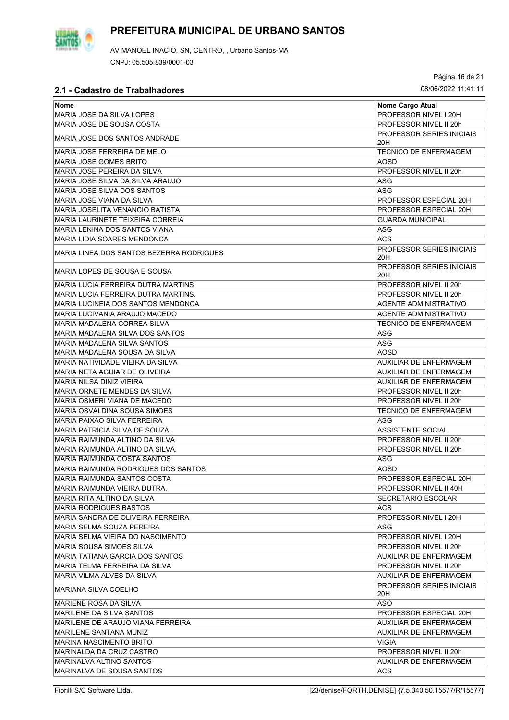

AV MANOEL INACIO, SN, CENTRO, , Urbano Santos-MA CNPJ: 05.505.839/0001-03

Página 16 de 21

| 2. Produastio de Traballia do es          |                                         |
|-------------------------------------------|-----------------------------------------|
| Nome                                      | Nome Cargo Atual                        |
| MARIA JOSE DA SILVA LOPES                 | PROFESSOR NIVEL I 20H                   |
| MARIA JOSE DE SOUSA COSTA                 | PROFESSOR NIVEL II 20h                  |
| MARIA JOSE DOS SANTOS ANDRADE             | <b>PROFESSOR SERIES INICIAIS</b><br>20H |
| MARIA JOSE FERREIRA DE MELO               | <b>TECNICO DE ENFERMAGEM</b>            |
| <b>MARIA JOSE GOMES BRITO</b>             | AOSD                                    |
| MARIA JOSE PEREIRA DA SILVA               | PROFESSOR NIVEL II 20h                  |
| MARIA JOSE SILVA DA SILVA ARAUJO          | ASG                                     |
| MARIA JOSE SILVA DOS SANTOS               | ASG                                     |
| MARIA JOSE VIANA DA SILVA                 | PROFESSOR ESPECIAL 20H                  |
| MARIA JOSELITA VENANCIO BATISTA           | PROFESSOR ESPECIAL 20H                  |
|                                           |                                         |
| MARIA LAURINETE TEIXEIRA CORREIA          | <b>GUARDA MUNICIPAL</b>                 |
| IMARIA LENINA DOS SANTOS VIANA            | ASG                                     |
| <b>MARIA LIDIA SOARES MENDONCA</b>        | <b>ACS</b>                              |
| MARIA LINEA DOS SANTOS BEZERRA RODRIGUES  | <b>PROFESSOR SERIES INICIAIS</b><br>20H |
| MARIA LOPES DE SOUSA E SOUSA              | PROFESSOR SERIES INICIAIS<br>20H        |
| <b>MARIA LUCIA FERREIRA DUTRA MARTINS</b> | PROFESSOR NIVEL II 20h                  |
| MARIA LUCIA FERREIRA DUTRA MARTINS.       | PROFESSOR NIVEL II 20h                  |
| MARIA LUCINEIA DOS SANTOS MENDONCA        | AGENTE ADMINISTRATIVO                   |
| MARIA LUCIVANIA ARAUJO MACEDO             | AGENTE ADMINISTRATIVO                   |
| MARIA MADALENA CORREA SILVA               | <b>TECNICO DE ENFERMAGEM</b>            |
| MARIA MADALENA SILVA DOS SANTOS           | ASG                                     |
| MARIA MADALENA SILVA SANTOS               | ASG                                     |
| MARIA MADALENA SOUSA DA SILVA             | AOSD                                    |
| MARIA NATIVIDADE VIEIRA DA SILVA          | <b>AUXILIAR DE ENFERMAGEM</b>           |
| MARIA NETA AGUIAR DE OLIVEIRA             | <b>AUXILIAR DE ENFERMAGEM</b>           |
| MARIA NILSA DINIZ VIEIRA                  | <b>AUXILIAR DE ENFERMAGEM</b>           |
| MARIA ORNETE MENDES DA SILVA              | PROFESSOR NIVEL II 20h                  |
| MARIA OSMERI VIANA DE MACEDO              | PROFESSOR NIVEL II 20h                  |
| MARIA OSVALDINA SOUSA SIMOES              | <b>TECNICO DE ENFERMAGEM</b>            |
| <b>MARIA PAIXAO SILVA FERREIRA</b>        | ASG                                     |
| MARIA PATRICIA SILVA DE SOUZA.            | <b>ASSISTENTE SOCIAL</b>                |
| MARIA RAIMUNDA ALTINO DA SILVA            | PROFESSOR NIVEL II 20h                  |
| MARIA RAIMUNDA ALTINO DA SILVA.           | PROFESSOR NIVEL II 20h                  |
| <b>MARIA RAIMUNDA COSTA SANTOS</b>        | ASG                                     |
| MARIA RAIMUNDA RODRIGUES DOS SANTOS       | AOSD                                    |
| MARIA RAIMUNDA SANTOS COSTA               | PROFESSOR ESPECIAL 20H                  |
| IMARIA RAIMUNDA VIEIRA DUTRA.             | PROFESSOR NIVEL II 40H                  |
| MARIA RITA ALTINO DA SILVA                | SECRETARIO ESCOLAR                      |
| MARIA RODRIGUES BASTOS                    | ACS                                     |
| MARIA SANDRA DE OLIVEIRA FERREIRA         | PROFESSOR NIVEL I 20H                   |
| MARIA SELMA SOUZA PEREIRA                 | ASG                                     |
| MARIA SELMA VIEIRA DO NASCIMENTO          | PROFESSOR NIVEL I 20H                   |
| MARIA SOUSA SIMOES SILVA                  | PROFESSOR NIVEL II 20h                  |
| IMARIA TATIANA GARCIA DOS SANTOS          | AUXILIAR DE ENFERMAGEM                  |
|                                           |                                         |
| IMARIA TELMA FERREIRA DA SILVA            | PROFESSOR NIVEL II 20h                  |
| MARIA VILMA ALVES DA SILVA                | AUXILIAR DE ENFERMAGEM                  |
| MARIANA SILVA COELHO                      | <b>PROFESSOR SERIES INICIAIS</b><br>20H |
| MARIENE ROSA DA SILVA                     | <b>ASO</b>                              |
| IMARILENE DA SILVA SANTOS                 | PROFESSOR ESPECIAL 20H                  |
| IMARILENE DE ARAUJO VIANA FERREIRA        | AUXILIAR DE ENFERMAGEM                  |
| MARILENE SANTANA MUNIZ                    | AUXILIAR DE ENFERMAGEM                  |
| IMARINA NASCIMENTO BRITO                  | <b>VIGIA</b>                            |
| MARINALDA DA CRUZ CASTRO                  | PROFESSOR NIVEL II 20h                  |
| MARINALVA ALTINO SANTOS                   | AUXILIAR DE ENFERMAGEM                  |
| MARINALVA DE SOUSA SANTOS                 | ACS.                                    |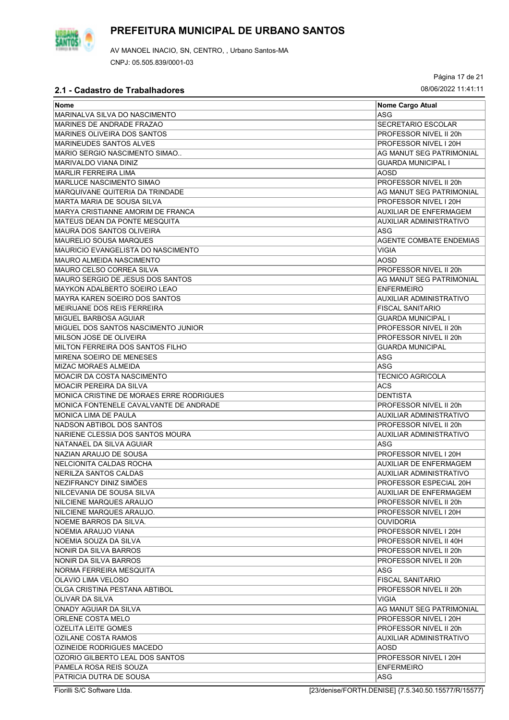

Página 17 de 21

| Nome                                     | Nome Cargo Atual               |
|------------------------------------------|--------------------------------|
| MARINALVA SILVA DO NASCIMENTO            | ASG                            |
| MARINES DE ANDRADE FRAZAO                | <b>SECRETARIO ESCOLAR</b>      |
| IMARINES OLIVEIRA DOS SANTOS             | PROFESSOR NIVEL II 20h         |
| MARINEUDES SANTOS ALVES                  | PROFESSOR NIVEL I 20H          |
| IMARIO SERGIO NASCIMENTO SIMAO           | AG MANUT SEG PATRIMONIAL       |
| <b>MARIVALDO VIANA DINIZ</b>             | <b>GUARDA MUNICIPAL I</b>      |
| <b>IMARLIR FERREIRA LIMA</b>             | <b>AOSD</b>                    |
| IMARLUCE NASCIMENTO SIMAO                | PROFESSOR NIVEL II 20h         |
| MARQUIVANE QUITERIA DA TRINDADE          | AG MANUT SEG PATRIMONIAL       |
| IMARTA MARIA DE SOUSA SILVA              | PROFESSOR NIVEL I 20H          |
| MARYA CRISTIANNE AMORIM DE FRANCA        | <b>AUXILIAR DE ENFERMAGEM</b>  |
| MATEUS DEAN DA PONTE MESQUITA            | AUXILIAR ADMINISTRATIVO        |
| MAURA DOS SANTOS OLIVEIRA                | ASG                            |
| MAURELIO SOUSA MARQUES                   | <b>AGENTE COMBATE ENDEMIAS</b> |
| IMAURICIO EVANGELISTA DO NASCIMENTO      | VIGIA                          |
| MAURO ALMEIDA NASCIMENTO                 | <b>AOSD</b>                    |
| MAURO CELSO CORREA SILVA                 | PROFESSOR NIVEL II 20h         |
| MAURO SERGIO DE JESUS DOS SANTOS         | AG MANUT SEG PATRIMONIAL       |
| <b>MAYKON ADALBERTO SOEIRO LEAO</b>      | <b>ENFERMEIRO</b>              |
| MAYRA KAREN SOEIRO DOS SANTOS            | AUXILIAR ADMINISTRATIVO        |
| IMEIRIJANE DOS REIS FERREIRA             | <b>FISCAL SANITARIO</b>        |
| MIGUEL BARBOSA AGUIAR                    | <b>GUARDA MUNICIPAL I</b>      |
| MIGUEL DOS SANTOS NASCIMENTO JUNIOR      | PROFESSOR NIVEL II 20h         |
| IMILSON JOSE DE OLIVEIRA                 | PROFESSOR NIVEL II 20h         |
| MILTON FERREIRA DOS SANTOS FILHO         | <b>GUARDA MUNICIPAL</b>        |
| MIRENA SOEIRO DE MENESES                 | ASG                            |
| <b>MIZAC MORAES ALMEIDA</b>              | ASG                            |
| MOACIR DA COSTA NASCIMENTO               | TECNICO AGRICOLA               |
| MOACIR PEREIRA DA SILVA                  | ACS                            |
| MONICA CRISTINE DE MORAES ERRE RODRIGUES | <b>DENTISTA</b>                |
| MONICA FONTENELE CAVALVANTE DE ANDRADE   | PROFESSOR NIVEL II 20h         |
| IMONICA LIMA DE PAULA                    | AUXILIAR ADMINISTRATIVO        |
| INADSON ABTIBOL DOS SANTOS               | PROFESSOR NIVEL II 20h         |
| NARIENE CLESSIA DOS SANTOS MOURA         | <b>AUXILIAR ADMINISTRATIVO</b> |
| NATANAEL DA SILVA AGUIAR                 | ASG                            |
| NAZIAN ARAUJO DE SOUSA                   | PROFESSOR NIVEL I 20H          |
| NELCIONITA CALDAS ROCHA                  | <b>AUXILIAR DE ENFERMAGEM</b>  |
| NERILZA SANTOS CALDAS                    | AUXILIAR ADMINISTRATIVO        |
| <b>NEZIFRANCY DINIZ SIMÖES</b>           | PROFESSOR ESPECIAL 20H         |
| INILCEVANIA DE SOUSA SILVA               | AUXILIAR DE ENFERMAGEM         |
| NILCIENE MARQUES ARAUJO                  | PROFESSOR NIVEL II 20h         |
| NILCIENE MARQUES ARAUJO.                 | PROFESSOR NIVEL I 20H          |
| <b>INOEME BARROS DA SILVA.</b>           | <b>OUVIDORIA</b>               |
| INOEMIA ARAUJO VIANA                     | PROFESSOR NIVEL I 20H          |
| NOEMIA SOUZA DA SILVA                    | PROFESSOR NIVEL II 40H         |
| NONIR DA SILVA BARROS                    | PROFESSOR NIVEL II 20h         |
| NONIR DA SILVA BARROS                    | PROFESSOR NIVEL II 20h         |
| INORMA FERREIRA MESQUITA                 | ASG                            |
| OLAVIO LIMA VELOSO                       | <b>FISCAL SANITARIO</b>        |
| OLGA CRISTINA PESTANA ABTIBOL            | PROFESSOR NIVEL II 20h         |
| OLIVAR DA SILVA                          | VIGIA                          |
| ONADY AGUIAR DA SILVA                    | AG MANUT SEG PATRIMONIAL       |
| ORLENE COSTA MELO                        | PROFESSOR NIVEL I 20H          |
| OZELITA LEITE GOMES                      | PROFESSOR NIVEL II 20h         |
| OZILANE COSTA RAMOS                      | AUXILIAR ADMINISTRATIVO        |
| OZINEIDE RODRIGUES MACEDO                | AOSD                           |
| OZORIO GILBERTO LEAL DOS SANTOS          | PROFESSOR NIVEL I 20H          |
| PAMELA ROSA REIS SOUZA                   | <b>ENFERMEIRO</b>              |
| PATRICIA DUTRA DE SOUSA                  | ASG                            |

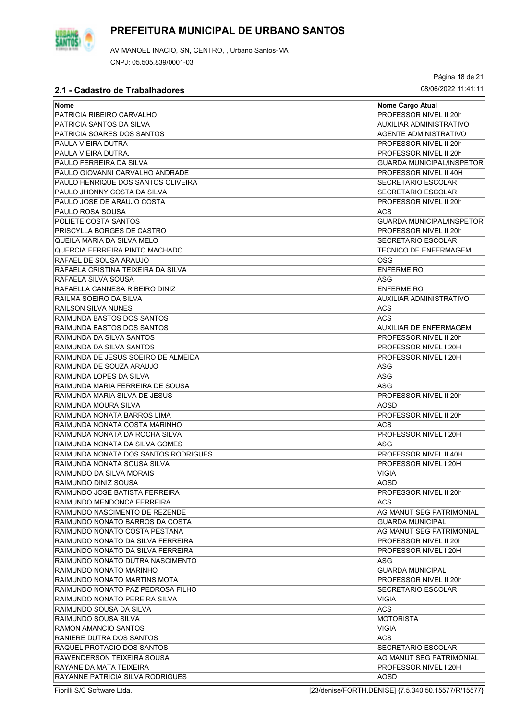

AV MANOEL INACIO, SN, CENTRO, , Urbano Santos-MA CNPJ: 05.505.839/0001-03

Página 18 de 21

| Nome                                 | Nome Cargo Atual                                |
|--------------------------------------|-------------------------------------------------|
| PATRICIA RIBEIRO CARVALHO            | PROFESSOR NIVEL II 20h                          |
| PATRICIA SANTOS DA SILVA             | AUXILIAR ADMINISTRATIVO                         |
| PATRICIA SOARES DOS SANTOS           | <b>AGENTE ADMINISTRATIVO</b>                    |
| PAULA VIEIRA DUTRA                   | PROFESSOR NIVEL II 20h                          |
| PAULA VIEIRA DUTRA.                  | PROFESSOR NIVEL II 20h                          |
| PAULO FERREIRA DA SILVA              | <b>GUARDA MUNICIPAL/INSPETOR</b>                |
| PAULO GIOVANNI CARVALHO ANDRADE      | PROFESSOR NIVEL II 40H                          |
| PAULO HENRIQUE DOS SANTOS OLIVEIRA   | <b>SECRETARIO ESCOLAR</b>                       |
| PAULO JHONNY COSTA DA SILVA          | <b>SECRETARIO ESCOLAR</b>                       |
| PAULO JOSE DE ARAUJO COSTA           | PROFESSOR NIVEL II 20h                          |
| IPAULO ROSA SOUSA                    | ACS                                             |
| POLIETE COSTA SANTOS                 | <b>GUARDA MUNICIPAL/INSPETOR</b>                |
| PRISCYLLA BORGES DE CASTRO           | PROFESSOR NIVEL II 20h                          |
| QUEILA MARIA DA SILVA MELO           | <b>SECRETARIO ESCOLAR</b>                       |
| QUERCIA FERREIRA PINTO MACHADO       | <b>TECNICO DE ENFERMAGEM</b>                    |
| RAFAEL DE SOUSA ARAUJO               | OSG                                             |
| RAFAELA CRISTINA TEIXEIRA DA SILVA   | <b>ENFERMEIRO</b>                               |
| RAFAELA SILVA SOUSA                  | ASG                                             |
| RAFAELLA CANNESA RIBEIRO DINIZ       | <b>ENFERMEIRO</b>                               |
| RAILMA SOEIRO DA SILVA               | AUXILIAR ADMINISTRATIVO                         |
| <b>RAILSON SILVA NUNES</b>           | <b>ACS</b>                                      |
| RAIMUNDA BASTOS DOS SANTOS           | <b>ACS</b>                                      |
| RAIMUNDA BASTOS DOS SANTOS           | AUXILIAR DE ENFERMAGEM                          |
| RAIMUNDA DA SILVA SANTOS             | PROFESSOR NIVEL II 20h                          |
| RAIMUNDA DA SILVA SANTOS             | PROFESSOR NIVEL I 20H                           |
| RAIMUNDA DE JESUS SOEIRO DE ALMEIDA  | PROFESSOR NIVEL I 20H                           |
| RAIMUNDA DE SOUZA ARAUJO             | ASG                                             |
| RAIMUNDA LOPES DA SILVA              | ASG                                             |
| RAIMUNDA MARIA FERREIRA DE SOUSA     | ASG                                             |
| RAIMUNDA MARIA SILVA DE JESUS        | PROFESSOR NIVEL II 20h                          |
| RAIMUNDA MOURA SILVA                 | AOSD                                            |
|                                      |                                                 |
| RAIMUNDA NONATA BARROS LIMA          | PROFESSOR NIVEL II 20h<br><b>ACS</b>            |
| RAIMUNDA NONATA COSTA MARINHO        | PROFESSOR NIVEL I 20H                           |
| RAIMUNDA NONATA DA ROCHA SILVA       |                                                 |
| RAIMUNDA NONATA DA SILVA GOMES       | ASG                                             |
| RAIMUNDA NONATA DOS SANTOS RODRIGUES | PROFESSOR NIVEL II 40H<br>PROFESSOR NIVEL I 20H |
| RAIMUNDA NONATA SOUSA SILVA          |                                                 |
| RAIMUNDO DA SILVA MORAIS             | <b>VIGIA</b>                                    |
| RAIMUNDO DINIZ SOUSA                 | AOSD                                            |
| RAIMUNDO JOSE BATISTA FERREIRA       | PROFESSOR NIVEL II 20h                          |
| RAIMUNDO MENDONCA FERREIRA           | ACS                                             |
| RAIMUNDO NASCIMENTO DE REZENDE       | AG MANUT SEG PATRIMONIAL                        |
| RAIMUNDO NONATO BARROS DA COSTA      | <b>GUARDA MUNICIPAL</b>                         |
| RAIMUNDO NONATO COSTA PESTANA        | AG MANUT SEG PATRIMONIAL                        |
| RAIMUNDO NONATO DA SILVA FERREIRA    | PROFESSOR NIVEL II 20h                          |
| RAIMUNDO NONATO DA SILVA FERREIRA    | PROFESSOR NIVEL I 20H                           |
| RAIMUNDO NONATO DUTRA NASCIMENTO     | ASG                                             |
| RAIMUNDO NONATO MARINHO              | <b>GUARDA MUNICIPAL</b>                         |
| RAIMUNDO NONATO MARTINS MOTA         | PROFESSOR NIVEL II 20h                          |
| RAIMUNDO NONATO PAZ PEDROSA FILHO    | <b>SECRETARIO ESCOLAR</b>                       |
| RAIMUNDO NONATO PEREIRA SILVA        | <b>VIGIA</b>                                    |
| RAIMUNDO SOUSA DA SILVA              | ACS.                                            |
| RAIMUNDO SOUSA SILVA                 | <b>MOTORISTA</b>                                |
| RAMON AMANCIO SANTOS                 | <b>VIGIA</b>                                    |
| RANIERE DUTRA DOS SANTOS             | <b>ACS</b>                                      |
| RAQUEL PROTACIO DOS SANTOS           | <b>SECRETARIO ESCOLAR</b>                       |
| RAWENDERSON TEIXEIRA SOUSA           | AG MANUT SEG PATRIMONIAL                        |
| RAYANE DA MATA TEIXEIRA              | PROFESSOR NIVEL I 20H                           |
| RAYANNE PATRICIA SILVA RODRIGUES     | AOSD                                            |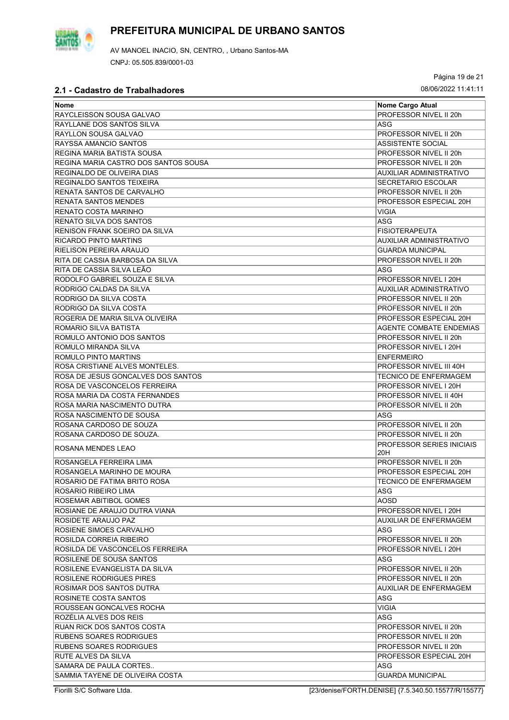

Página 19 de 21

| Nome                                 | Nome Cargo Atual                 |
|--------------------------------------|----------------------------------|
| RAYCLEISSON SOUSA GALVAO             | PROFESSOR NIVEL II 20h           |
| <b>RAYLLANE DOS SANTOS SILVA</b>     | ASG                              |
| <b>RAYLLON SOUSA GALVAO</b>          | PROFESSOR NIVEL II 20h           |
| <b>RAYSSA AMANCIO SANTOS</b>         | <b>ASSISTENTE SOCIAL</b>         |
| REGINA MARIA BATISTA SOUSA           | PROFESSOR NIVEL II 20h           |
| REGINA MARIA CASTRO DOS SANTOS SOUSA | PROFESSOR NIVEL II 20h           |
| REGINALDO DE OLIVEIRA DIAS           | AUXILIAR ADMINISTRATIVO          |
| REGINALDO SANTOS TEIXEIRA            | <b>SECRETARIO ESCOLAR</b>        |
| RENATA SANTOS DE CARVALHO            | PROFESSOR NIVEL II 20h           |
| <b>RENATA SANTOS MENDES</b>          | PROFESSOR ESPECIAL 20H           |
| RENATO COSTA MARINHO                 | <b>VIGIA</b>                     |
| <b>RENATO SILVA DOS SANTOS</b>       | ASG                              |
| RENISON FRANK SOEIRO DA SILVA        |                                  |
|                                      | <b>FISIOTERAPEUTA</b>            |
| RICARDO PINTO MARTINS                | AUXILIAR ADMINISTRATIVO          |
| <b>RIELISON PEREIRA ARAUJO</b>       | <b>GUARDA MUNICIPAL</b>          |
| RITA DE CASSIA BARBOSA DA SILVA      | PROFESSOR NIVEL II 20h           |
| RITA DE CASSIA SILVA LEÃO            | ASG                              |
| RODOLFO GABRIEL SOUZA E SILVA        | PROFESSOR NIVEL I 20H            |
| RODRIGO CALDAS DA SILVA              | AUXILIAR ADMINISTRATIVO          |
| RODRIGO DA SILVA COSTA               | PROFESSOR NIVEL II 20h           |
| RODRIGO DA SILVA COSTA               | PROFESSOR NIVEL II 20h           |
| ROGERIA DE MARIA SILVA OLIVEIRA      | PROFESSOR ESPECIAL 20H           |
| ROMARIO SILVA BATISTA                | <b>AGENTE COMBATE ENDEMIAS</b>   |
| ROMULO ANTONIO DOS SANTOS            | PROFESSOR NIVEL II 20h           |
| ROMULO MIRANDA SILVA                 | PROFESSOR NIVEL I 20H            |
| <b>ROMULO PINTO MARTINS</b>          | <b>ENFERMEIRO</b>                |
| ROSA CRISTIANE ALVES MONTELES.       | PROFESSOR NIVEL III 40H          |
| ROSA DE JESUS GONCALVES DOS SANTOS   | <b>TECNICO DE ENFERMAGEM</b>     |
| ROSA DE VASCONCELOS FERREIRA         | PROFESSOR NIVEL I 20H            |
| <b>ROSA MARIA DA COSTA FERNANDES</b> | PROFESSOR NIVEL II 40H           |
| ROSA MARIA NASCIMENTO DUTRA          | PROFESSOR NIVEL II 20h           |
| ROSA NASCIMENTO DE SOUSA             | ASG                              |
| ROSANA CARDOSO DE SOUZA              | PROFESSOR NIVEL II 20h           |
| ROSANA CARDOSO DE SOUZA.             | PROFESSOR NIVEL II 20h           |
|                                      | <b>PROFESSOR SERIES INICIAIS</b> |
| ROSANA MENDES LEAO                   | 20H                              |
| ROSANGELA FERREIRA LIMA              | PROFESSOR NIVEL II 20h           |
| IROSANGELA MARINHO DE MOURA          | PROFESSOR ESPECIAL 20H           |
| ROSARIO DE FATIMA BRITO ROSA         | <b>TECNICO DE ENFERMAGEM</b>     |
| ROSARIO RIBEIRO LIMA                 | ASG                              |
| ROSEMAR ABITIBOL GOMES               | AOSD                             |
| ROSIANE DE ARAUJO DUTRA VIANA        | PROFESSOR NIVEL I 20H            |
| ROSIDETE ARAUJO PAZ                  | AUXILIAR DE ENFERMAGEM           |
| ROSIENE SIMOES CARVALHO              | ASG                              |
| ROSILDA CORREIA RIBEIRO              | PROFESSOR NIVEL II 20h           |
| ROSILDA DE VASCONCELOS FERREIRA      | PROFESSOR NIVEL I 20H            |
| ROSILENE DE SOUSA SANTOS             | ASG                              |
| ROSILENE EVANGELISTA DA SILVA        | PROFESSOR NIVEL II 20h           |
| ROSILENE RODRIGUES PIRES             | PROFESSOR NIVEL II 20h           |
| ROSIMAR DOS SANTOS DUTRA             | AUXILIAR DE ENFERMAGEM           |
| ROSINETE COSTA SANTOS                | ASG                              |
| ROUSSEAN GONCALVES ROCHA             | VIGIA                            |
| ROZÉLIA ALVES DOS REIS               | <b>ASG</b>                       |
| RUAN RICK DOS SANTOS COSTA           | PROFESSOR NIVEL II 20h           |
|                                      |                                  |
| RUBENS SOARES RODRIGUES              | PROFESSOR NIVEL II 20h           |
| RUBENS SOARES RODRIGUES              | PROFESSOR NIVEL II 20h           |
| RUTE ALVES DA SILVA                  | PROFESSOR ESPECIAL 20H           |
| SAMARA DE PAULA CORTES               | ASG                              |
| SAMMIA TAYENE DE OLIVEIRA COSTA      | GUARDA MUNICIPAL                 |

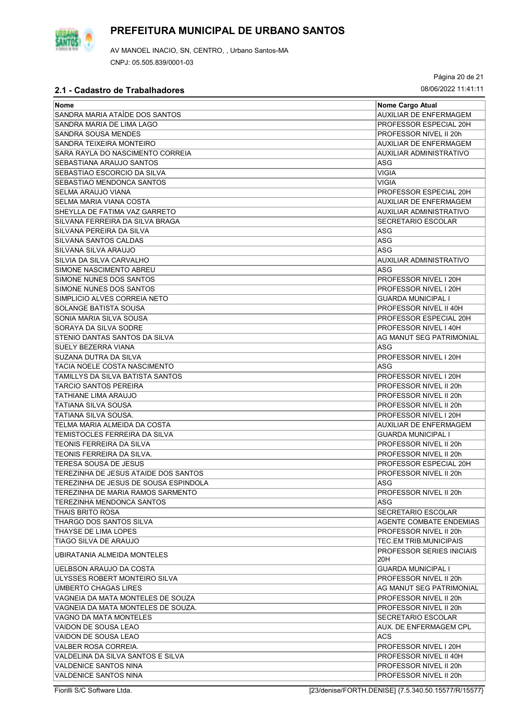

Página 20 de 21

| Nome Cargo Atual<br><b>Nome</b><br>SANDRA MARIA ATAÍDE DOS SANTOS<br><b>AUXILIAR DE ENFERMAGEM</b><br>SANDRA MARIA DE LIMA LAGO<br>PROFESSOR ESPECIAL 20H<br>SANDRA SOUSA MENDES<br>PROFESSOR NIVEL II 20h<br>SANDRA TEIXEIRA MONTEIRO<br>AUXILIAR DE ENFERMAGEM<br>SARA RAYLA DO NASCIMENTO CORREIA<br>AUXILIAR ADMINISTRATIVO<br><b>SEBASTIANA ARAUJO SANTOS</b><br>ASG<br>SEBASTIAO ESCORCIO DA SILVA<br><b>VIGIA</b><br>SEBASTIAO MENDONCA SANTOS<br>VIGIA<br><b>SELMA ARAUJO VIANA</b><br>PROFESSOR ESPECIAL 20H<br>SELMA MARIA VIANA COSTA<br><b>AUXILIAR DE ENFERMAGEM</b><br>SHEYLLA DE FATIMA VAZ GARRETO<br>AUXILIAR ADMINISTRATIVO<br><b>SECRETARIO ESCOLAR</b><br>SILVANA FERREIRA DA SILVA BRAGA<br>SILVANA PEREIRA DA SILVA<br>ASG<br>ASG<br>SILVANA SANTOS CALDAS<br>ASG<br>SILVANA SILVA ARAUJO<br>SILVIA DA SILVA CARVALHO<br>AUXILIAR ADMINISTRATIVO<br>SIMONE NASCIMENTO ABREU<br>ASG<br>SIMONE NUNES DOS SANTOS<br>PROFESSOR NIVEL I 20H<br>SIMONE NUNES DOS SANTOS<br>PROFESSOR NIVEL I 20H<br>SIMPLICIO ALVES CORREIA NETO<br><b>GUARDA MUNICIPAL I</b><br><b>SOLANGE BATISTA SOUSA</b><br>PROFESSOR NIVEL II 40H<br>SONIA MARIA SILVA SOUSA<br>PROFESSOR ESPECIAL 20H<br>PROFESSOR NIVEL I 40H<br>SORAYA DA SILVA SODRE<br>STENIO DANTAS SANTOS DA SILVA<br>AG MANUT SEG PATRIMONIAL<br>ASG<br>SUELY BEZERRA VIANA<br><b>PROFESSOR NIVEL I 20H</b><br>SUZANA DUTRA DA SILVA<br>TACIA NOELE COSTA NASCIMENTO<br>ASG<br>TAMILLYS DA SILVA BATISTA SANTOS<br>PROFESSOR NIVEL I 20H<br>TARCIO SANTOS PEREIRA<br>PROFESSOR NIVEL II 20h<br>PROFESSOR NIVEL II 20h<br>TATHIANE LIMA ARAUJO |
|-------------------------------------------------------------------------------------------------------------------------------------------------------------------------------------------------------------------------------------------------------------------------------------------------------------------------------------------------------------------------------------------------------------------------------------------------------------------------------------------------------------------------------------------------------------------------------------------------------------------------------------------------------------------------------------------------------------------------------------------------------------------------------------------------------------------------------------------------------------------------------------------------------------------------------------------------------------------------------------------------------------------------------------------------------------------------------------------------------------------------------------------------------------------------------------------------------------------------------------------------------------------------------------------------------------------------------------------------------------------------------------------------------------------------------------------------------------------------------------------------------------------------------------------------------------------------------------------------------------|
|                                                                                                                                                                                                                                                                                                                                                                                                                                                                                                                                                                                                                                                                                                                                                                                                                                                                                                                                                                                                                                                                                                                                                                                                                                                                                                                                                                                                                                                                                                                                                                                                             |
|                                                                                                                                                                                                                                                                                                                                                                                                                                                                                                                                                                                                                                                                                                                                                                                                                                                                                                                                                                                                                                                                                                                                                                                                                                                                                                                                                                                                                                                                                                                                                                                                             |
|                                                                                                                                                                                                                                                                                                                                                                                                                                                                                                                                                                                                                                                                                                                                                                                                                                                                                                                                                                                                                                                                                                                                                                                                                                                                                                                                                                                                                                                                                                                                                                                                             |
|                                                                                                                                                                                                                                                                                                                                                                                                                                                                                                                                                                                                                                                                                                                                                                                                                                                                                                                                                                                                                                                                                                                                                                                                                                                                                                                                                                                                                                                                                                                                                                                                             |
|                                                                                                                                                                                                                                                                                                                                                                                                                                                                                                                                                                                                                                                                                                                                                                                                                                                                                                                                                                                                                                                                                                                                                                                                                                                                                                                                                                                                                                                                                                                                                                                                             |
|                                                                                                                                                                                                                                                                                                                                                                                                                                                                                                                                                                                                                                                                                                                                                                                                                                                                                                                                                                                                                                                                                                                                                                                                                                                                                                                                                                                                                                                                                                                                                                                                             |
|                                                                                                                                                                                                                                                                                                                                                                                                                                                                                                                                                                                                                                                                                                                                                                                                                                                                                                                                                                                                                                                                                                                                                                                                                                                                                                                                                                                                                                                                                                                                                                                                             |
|                                                                                                                                                                                                                                                                                                                                                                                                                                                                                                                                                                                                                                                                                                                                                                                                                                                                                                                                                                                                                                                                                                                                                                                                                                                                                                                                                                                                                                                                                                                                                                                                             |
|                                                                                                                                                                                                                                                                                                                                                                                                                                                                                                                                                                                                                                                                                                                                                                                                                                                                                                                                                                                                                                                                                                                                                                                                                                                                                                                                                                                                                                                                                                                                                                                                             |
|                                                                                                                                                                                                                                                                                                                                                                                                                                                                                                                                                                                                                                                                                                                                                                                                                                                                                                                                                                                                                                                                                                                                                                                                                                                                                                                                                                                                                                                                                                                                                                                                             |
|                                                                                                                                                                                                                                                                                                                                                                                                                                                                                                                                                                                                                                                                                                                                                                                                                                                                                                                                                                                                                                                                                                                                                                                                                                                                                                                                                                                                                                                                                                                                                                                                             |
|                                                                                                                                                                                                                                                                                                                                                                                                                                                                                                                                                                                                                                                                                                                                                                                                                                                                                                                                                                                                                                                                                                                                                                                                                                                                                                                                                                                                                                                                                                                                                                                                             |
|                                                                                                                                                                                                                                                                                                                                                                                                                                                                                                                                                                                                                                                                                                                                                                                                                                                                                                                                                                                                                                                                                                                                                                                                                                                                                                                                                                                                                                                                                                                                                                                                             |
|                                                                                                                                                                                                                                                                                                                                                                                                                                                                                                                                                                                                                                                                                                                                                                                                                                                                                                                                                                                                                                                                                                                                                                                                                                                                                                                                                                                                                                                                                                                                                                                                             |
|                                                                                                                                                                                                                                                                                                                                                                                                                                                                                                                                                                                                                                                                                                                                                                                                                                                                                                                                                                                                                                                                                                                                                                                                                                                                                                                                                                                                                                                                                                                                                                                                             |
|                                                                                                                                                                                                                                                                                                                                                                                                                                                                                                                                                                                                                                                                                                                                                                                                                                                                                                                                                                                                                                                                                                                                                                                                                                                                                                                                                                                                                                                                                                                                                                                                             |
|                                                                                                                                                                                                                                                                                                                                                                                                                                                                                                                                                                                                                                                                                                                                                                                                                                                                                                                                                                                                                                                                                                                                                                                                                                                                                                                                                                                                                                                                                                                                                                                                             |
|                                                                                                                                                                                                                                                                                                                                                                                                                                                                                                                                                                                                                                                                                                                                                                                                                                                                                                                                                                                                                                                                                                                                                                                                                                                                                                                                                                                                                                                                                                                                                                                                             |
|                                                                                                                                                                                                                                                                                                                                                                                                                                                                                                                                                                                                                                                                                                                                                                                                                                                                                                                                                                                                                                                                                                                                                                                                                                                                                                                                                                                                                                                                                                                                                                                                             |
|                                                                                                                                                                                                                                                                                                                                                                                                                                                                                                                                                                                                                                                                                                                                                                                                                                                                                                                                                                                                                                                                                                                                                                                                                                                                                                                                                                                                                                                                                                                                                                                                             |
|                                                                                                                                                                                                                                                                                                                                                                                                                                                                                                                                                                                                                                                                                                                                                                                                                                                                                                                                                                                                                                                                                                                                                                                                                                                                                                                                                                                                                                                                                                                                                                                                             |
|                                                                                                                                                                                                                                                                                                                                                                                                                                                                                                                                                                                                                                                                                                                                                                                                                                                                                                                                                                                                                                                                                                                                                                                                                                                                                                                                                                                                                                                                                                                                                                                                             |
|                                                                                                                                                                                                                                                                                                                                                                                                                                                                                                                                                                                                                                                                                                                                                                                                                                                                                                                                                                                                                                                                                                                                                                                                                                                                                                                                                                                                                                                                                                                                                                                                             |
|                                                                                                                                                                                                                                                                                                                                                                                                                                                                                                                                                                                                                                                                                                                                                                                                                                                                                                                                                                                                                                                                                                                                                                                                                                                                                                                                                                                                                                                                                                                                                                                                             |
|                                                                                                                                                                                                                                                                                                                                                                                                                                                                                                                                                                                                                                                                                                                                                                                                                                                                                                                                                                                                                                                                                                                                                                                                                                                                                                                                                                                                                                                                                                                                                                                                             |
|                                                                                                                                                                                                                                                                                                                                                                                                                                                                                                                                                                                                                                                                                                                                                                                                                                                                                                                                                                                                                                                                                                                                                                                                                                                                                                                                                                                                                                                                                                                                                                                                             |
|                                                                                                                                                                                                                                                                                                                                                                                                                                                                                                                                                                                                                                                                                                                                                                                                                                                                                                                                                                                                                                                                                                                                                                                                                                                                                                                                                                                                                                                                                                                                                                                                             |
|                                                                                                                                                                                                                                                                                                                                                                                                                                                                                                                                                                                                                                                                                                                                                                                                                                                                                                                                                                                                                                                                                                                                                                                                                                                                                                                                                                                                                                                                                                                                                                                                             |
|                                                                                                                                                                                                                                                                                                                                                                                                                                                                                                                                                                                                                                                                                                                                                                                                                                                                                                                                                                                                                                                                                                                                                                                                                                                                                                                                                                                                                                                                                                                                                                                                             |
|                                                                                                                                                                                                                                                                                                                                                                                                                                                                                                                                                                                                                                                                                                                                                                                                                                                                                                                                                                                                                                                                                                                                                                                                                                                                                                                                                                                                                                                                                                                                                                                                             |
|                                                                                                                                                                                                                                                                                                                                                                                                                                                                                                                                                                                                                                                                                                                                                                                                                                                                                                                                                                                                                                                                                                                                                                                                                                                                                                                                                                                                                                                                                                                                                                                                             |
| TATIANA SILVA SOUSA<br>PROFESSOR NIVEL II 20h                                                                                                                                                                                                                                                                                                                                                                                                                                                                                                                                                                                                                                                                                                                                                                                                                                                                                                                                                                                                                                                                                                                                                                                                                                                                                                                                                                                                                                                                                                                                                               |
| TATIANA SILVA SOUSA.<br>PROFESSOR NIVEL I 20H                                                                                                                                                                                                                                                                                                                                                                                                                                                                                                                                                                                                                                                                                                                                                                                                                                                                                                                                                                                                                                                                                                                                                                                                                                                                                                                                                                                                                                                                                                                                                               |
| TELMA MARIA ALMEIDA DA COSTA<br>AUXILIAR DE ENFERMAGEM                                                                                                                                                                                                                                                                                                                                                                                                                                                                                                                                                                                                                                                                                                                                                                                                                                                                                                                                                                                                                                                                                                                                                                                                                                                                                                                                                                                                                                                                                                                                                      |
| TEMISTOCLES FERREIRA DA SILVA<br><b>GUARDA MUNICIPAL I</b>                                                                                                                                                                                                                                                                                                                                                                                                                                                                                                                                                                                                                                                                                                                                                                                                                                                                                                                                                                                                                                                                                                                                                                                                                                                                                                                                                                                                                                                                                                                                                  |
| TEONIS FERREIRA DA SILVA<br>PROFESSOR NIVEL II 20h                                                                                                                                                                                                                                                                                                                                                                                                                                                                                                                                                                                                                                                                                                                                                                                                                                                                                                                                                                                                                                                                                                                                                                                                                                                                                                                                                                                                                                                                                                                                                          |
| PROFESSOR NIVEL II 20h<br>TEONIS FERREIRA DA SILVA.                                                                                                                                                                                                                                                                                                                                                                                                                                                                                                                                                                                                                                                                                                                                                                                                                                                                                                                                                                                                                                                                                                                                                                                                                                                                                                                                                                                                                                                                                                                                                         |
| TERESA SOUSA DE JESUS<br>PROFESSOR ESPECIAL 20H                                                                                                                                                                                                                                                                                                                                                                                                                                                                                                                                                                                                                                                                                                                                                                                                                                                                                                                                                                                                                                                                                                                                                                                                                                                                                                                                                                                                                                                                                                                                                             |
| TEREZINHA DE JESUS ATAIDE DOS SANTOS<br>PROFESSOR NIVEL II 20h                                                                                                                                                                                                                                                                                                                                                                                                                                                                                                                                                                                                                                                                                                                                                                                                                                                                                                                                                                                                                                                                                                                                                                                                                                                                                                                                                                                                                                                                                                                                              |
| TEREZINHA DE JESUS DE SOUSA ESPINDOLA<br> ASG                                                                                                                                                                                                                                                                                                                                                                                                                                                                                                                                                                                                                                                                                                                                                                                                                                                                                                                                                                                                                                                                                                                                                                                                                                                                                                                                                                                                                                                                                                                                                               |
| PROFESSOR NIVEL II 20h<br>TEREZINHA DE MARIA RAMOS SARMENTO                                                                                                                                                                                                                                                                                                                                                                                                                                                                                                                                                                                                                                                                                                                                                                                                                                                                                                                                                                                                                                                                                                                                                                                                                                                                                                                                                                                                                                                                                                                                                 |
| TEREZINHA MENDONCA SANTOS<br>ASG                                                                                                                                                                                                                                                                                                                                                                                                                                                                                                                                                                                                                                                                                                                                                                                                                                                                                                                                                                                                                                                                                                                                                                                                                                                                                                                                                                                                                                                                                                                                                                            |
| THAIS BRITO ROSA<br><b>SECRETARIO ESCOLAR</b>                                                                                                                                                                                                                                                                                                                                                                                                                                                                                                                                                                                                                                                                                                                                                                                                                                                                                                                                                                                                                                                                                                                                                                                                                                                                                                                                                                                                                                                                                                                                                               |
| THARGO DOS SANTOS SILVA<br>AGENTE COMBATE ENDEMIAS                                                                                                                                                                                                                                                                                                                                                                                                                                                                                                                                                                                                                                                                                                                                                                                                                                                                                                                                                                                                                                                                                                                                                                                                                                                                                                                                                                                                                                                                                                                                                          |
| THAYSE DE LIMA LOPES<br>PROFESSOR NIVEL II 20h                                                                                                                                                                                                                                                                                                                                                                                                                                                                                                                                                                                                                                                                                                                                                                                                                                                                                                                                                                                                                                                                                                                                                                                                                                                                                                                                                                                                                                                                                                                                                              |
| TIAGO SILVA DE ARAUJO<br>TEC.EM TRIB.MUNICIPAIS                                                                                                                                                                                                                                                                                                                                                                                                                                                                                                                                                                                                                                                                                                                                                                                                                                                                                                                                                                                                                                                                                                                                                                                                                                                                                                                                                                                                                                                                                                                                                             |
| <b>PROFESSOR SERIES INICIAIS</b><br>UBIRATANIA ALMEIDA MONTELES<br>20H                                                                                                                                                                                                                                                                                                                                                                                                                                                                                                                                                                                                                                                                                                                                                                                                                                                                                                                                                                                                                                                                                                                                                                                                                                                                                                                                                                                                                                                                                                                                      |
| UELBSON ARAUJO DA COSTA<br><b>GUARDA MUNICIPAL I</b>                                                                                                                                                                                                                                                                                                                                                                                                                                                                                                                                                                                                                                                                                                                                                                                                                                                                                                                                                                                                                                                                                                                                                                                                                                                                                                                                                                                                                                                                                                                                                        |
| ULYSSES ROBERT MONTEIRO SILVA<br>PROFESSOR NIVEL II 20h                                                                                                                                                                                                                                                                                                                                                                                                                                                                                                                                                                                                                                                                                                                                                                                                                                                                                                                                                                                                                                                                                                                                                                                                                                                                                                                                                                                                                                                                                                                                                     |
| UMBERTO CHAGAS LIRES<br>AG MANUT SEG PATRIMONIAL                                                                                                                                                                                                                                                                                                                                                                                                                                                                                                                                                                                                                                                                                                                                                                                                                                                                                                                                                                                                                                                                                                                                                                                                                                                                                                                                                                                                                                                                                                                                                            |
| VAGNEIA DA MATA MONTELES DE SOUZA<br>PROFESSOR NIVEL II 20h                                                                                                                                                                                                                                                                                                                                                                                                                                                                                                                                                                                                                                                                                                                                                                                                                                                                                                                                                                                                                                                                                                                                                                                                                                                                                                                                                                                                                                                                                                                                                 |
| VAGNEIA DA MATA MONTELES DE SOUZA.<br>PROFESSOR NIVEL II 20h                                                                                                                                                                                                                                                                                                                                                                                                                                                                                                                                                                                                                                                                                                                                                                                                                                                                                                                                                                                                                                                                                                                                                                                                                                                                                                                                                                                                                                                                                                                                                |
| VAGNO DA MATA MONTELES<br><b>SECRETARIO ESCOLAR</b>                                                                                                                                                                                                                                                                                                                                                                                                                                                                                                                                                                                                                                                                                                                                                                                                                                                                                                                                                                                                                                                                                                                                                                                                                                                                                                                                                                                                                                                                                                                                                         |
| VAIDON DE SOUSA LEAO<br>AUX. DE ENFERMAGEM CPL                                                                                                                                                                                                                                                                                                                                                                                                                                                                                                                                                                                                                                                                                                                                                                                                                                                                                                                                                                                                                                                                                                                                                                                                                                                                                                                                                                                                                                                                                                                                                              |
| VAIDON DE SOUSA LEAO<br><b>ACS</b>                                                                                                                                                                                                                                                                                                                                                                                                                                                                                                                                                                                                                                                                                                                                                                                                                                                                                                                                                                                                                                                                                                                                                                                                                                                                                                                                                                                                                                                                                                                                                                          |
| VALBER ROSA CORREIA.<br>PROFESSOR NIVEL I 20H                                                                                                                                                                                                                                                                                                                                                                                                                                                                                                                                                                                                                                                                                                                                                                                                                                                                                                                                                                                                                                                                                                                                                                                                                                                                                                                                                                                                                                                                                                                                                               |
| VALDELINA DA SILVA SANTOS E SILVA<br>PROFESSOR NIVEL II 40H                                                                                                                                                                                                                                                                                                                                                                                                                                                                                                                                                                                                                                                                                                                                                                                                                                                                                                                                                                                                                                                                                                                                                                                                                                                                                                                                                                                                                                                                                                                                                 |
| <b>VALDENICE SANTOS NINA</b><br>PROFESSOR NIVEL II 20h                                                                                                                                                                                                                                                                                                                                                                                                                                                                                                                                                                                                                                                                                                                                                                                                                                                                                                                                                                                                                                                                                                                                                                                                                                                                                                                                                                                                                                                                                                                                                      |
| <b>VALDENICE SANTOS NINA</b><br>PROFESSOR NIVEL II 20h                                                                                                                                                                                                                                                                                                                                                                                                                                                                                                                                                                                                                                                                                                                                                                                                                                                                                                                                                                                                                                                                                                                                                                                                                                                                                                                                                                                                                                                                                                                                                      |